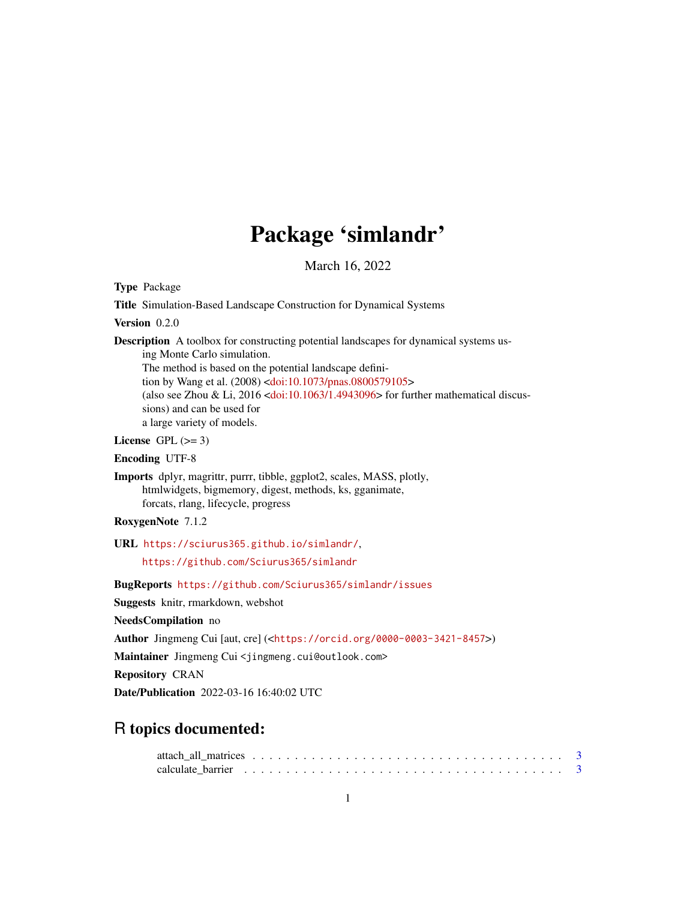# Package 'simlandr'

March 16, 2022

<span id="page-0-0"></span>Type Package

Title Simulation-Based Landscape Construction for Dynamical Systems

Version 0.2.0

Description A toolbox for constructing potential landscapes for dynamical systems us-

ing Monte Carlo simulation. The method is based on the potential landscape defini-tion by Wang et al. (2008) [<doi:10.1073/pnas.0800579105>](https://doi.org/10.1073/pnas.0800579105) (also see Zhou & Li,  $2016$  [<doi:10.1063/1.4943096>](https://doi.org/10.1063/1.4943096) for further mathematical discussions) and can be used for a large variety of models.

License GPL  $(>= 3)$ 

Encoding UTF-8

Imports dplyr, magrittr, purrr, tibble, ggplot2, scales, MASS, plotly, htmlwidgets, bigmemory, digest, methods, ks, gganimate, forcats, rlang, lifecycle, progress

RoxygenNote 7.1.2

URL <https://sciurus365.github.io/simlandr/>,

<https://github.com/Sciurus365/simlandr>

BugReports <https://github.com/Sciurus365/simlandr/issues>

Suggests knitr, rmarkdown, webshot

NeedsCompilation no

Author Jingmeng Cui [aut, cre] (<<https://orcid.org/0000-0003-3421-8457>>)

Maintainer Jingmeng Cui <jingmeng.cui@outlook.com>

Repository CRAN

Date/Publication 2022-03-16 16:40:02 UTC

# R topics documented: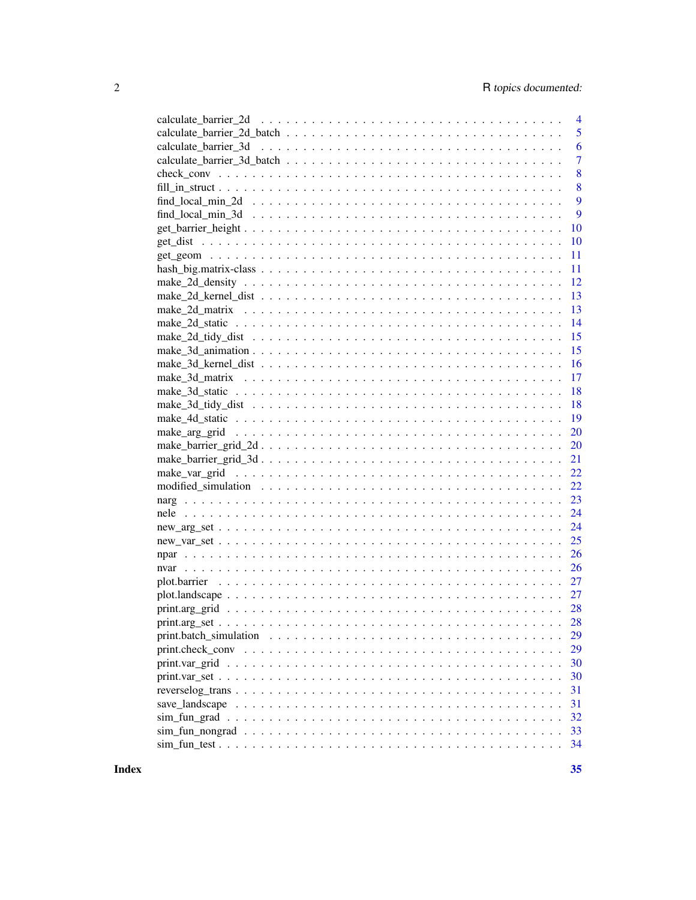| 5<br>6<br>$\overline{7}$<br>8<br>8<br>9<br>9<br>10<br>10<br>11<br>11<br>12<br>13<br>13<br>14<br>15<br>15<br>16<br>17<br>18<br>18<br>19<br>20<br>20<br>21<br>22<br>22<br>23<br>24<br>24<br>25<br>26<br>26<br>27<br>27<br>28<br>28 |
|----------------------------------------------------------------------------------------------------------------------------------------------------------------------------------------------------------------------------------|
|                                                                                                                                                                                                                                  |
|                                                                                                                                                                                                                                  |
|                                                                                                                                                                                                                                  |
|                                                                                                                                                                                                                                  |
|                                                                                                                                                                                                                                  |
|                                                                                                                                                                                                                                  |
|                                                                                                                                                                                                                                  |
|                                                                                                                                                                                                                                  |
|                                                                                                                                                                                                                                  |
|                                                                                                                                                                                                                                  |
|                                                                                                                                                                                                                                  |
|                                                                                                                                                                                                                                  |
|                                                                                                                                                                                                                                  |
|                                                                                                                                                                                                                                  |
|                                                                                                                                                                                                                                  |
|                                                                                                                                                                                                                                  |
|                                                                                                                                                                                                                                  |
|                                                                                                                                                                                                                                  |
|                                                                                                                                                                                                                                  |
|                                                                                                                                                                                                                                  |
|                                                                                                                                                                                                                                  |
|                                                                                                                                                                                                                                  |
|                                                                                                                                                                                                                                  |
|                                                                                                                                                                                                                                  |
|                                                                                                                                                                                                                                  |
|                                                                                                                                                                                                                                  |
|                                                                                                                                                                                                                                  |
|                                                                                                                                                                                                                                  |
|                                                                                                                                                                                                                                  |
|                                                                                                                                                                                                                                  |
|                                                                                                                                                                                                                                  |
|                                                                                                                                                                                                                                  |
|                                                                                                                                                                                                                                  |
|                                                                                                                                                                                                                                  |
|                                                                                                                                                                                                                                  |
|                                                                                                                                                                                                                                  |
| 29<br>print.batch_simulation $\ldots \ldots \ldots \ldots \ldots \ldots \ldots \ldots \ldots \ldots \ldots \ldots \ldots$                                                                                                        |
| 29                                                                                                                                                                                                                               |
| 30                                                                                                                                                                                                                               |
| 30                                                                                                                                                                                                                               |
| 31                                                                                                                                                                                                                               |
| 31                                                                                                                                                                                                                               |
| 32                                                                                                                                                                                                                               |
| 33                                                                                                                                                                                                                               |
| 34                                                                                                                                                                                                                               |

**Index**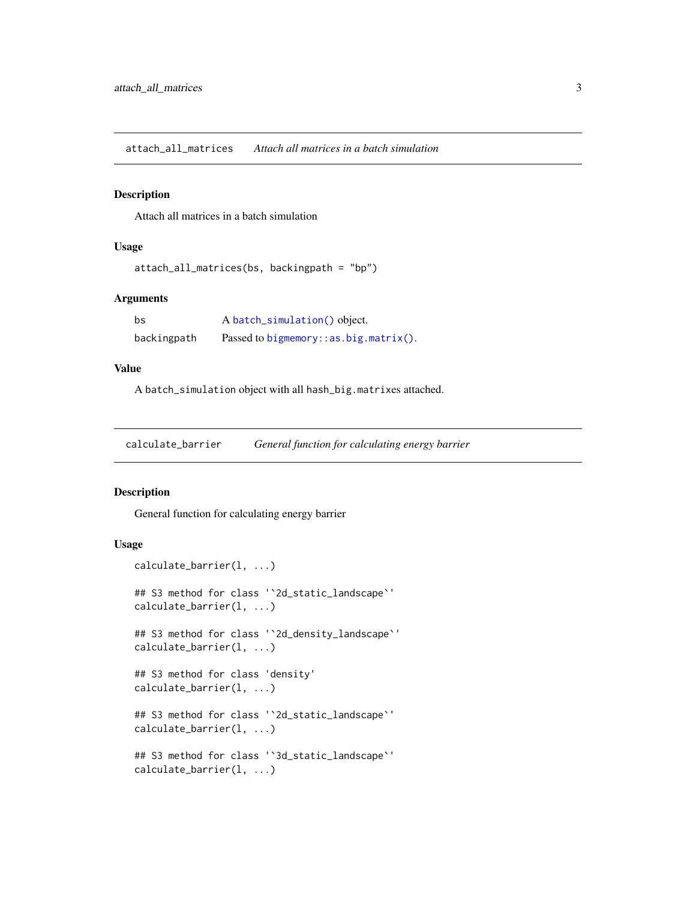<span id="page-2-0"></span>attach\_all\_matrices *Attach all matrices in a batch simulation*

#### Description

Attach all matrices in a batch simulation

#### Usage

```
attach_all_matrices(bs, backingpath = "bp")
```
#### Arguments

| bs          | A batch_simulation() object.             |
|-------------|------------------------------------------|
| backingpath | Passed to bigmemory: $:as.big.mathx()$ . |

## Value

A batch\_simulation object with all hash\_big.matrixes attached.

calculate\_barrier *General function for calculating energy barrier*

#### Description

General function for calculating energy barrier

# Usage

```
calculate_barrier(l, ...)
## S3 method for class '`2d_static_landscape`'
calculate_barrier(l, ...)
## S3 method for class '`2d_density_landscape`'
calculate_barrier(l, ...)
## S3 method for class 'density'
calculate_barrier(l, ...)
## S3 method for class '`2d_static_landscape`'
calculate_barrier(l, ...)
## S3 method for class '`3d_static_landscape`'
calculate_barrier(l, ...)
```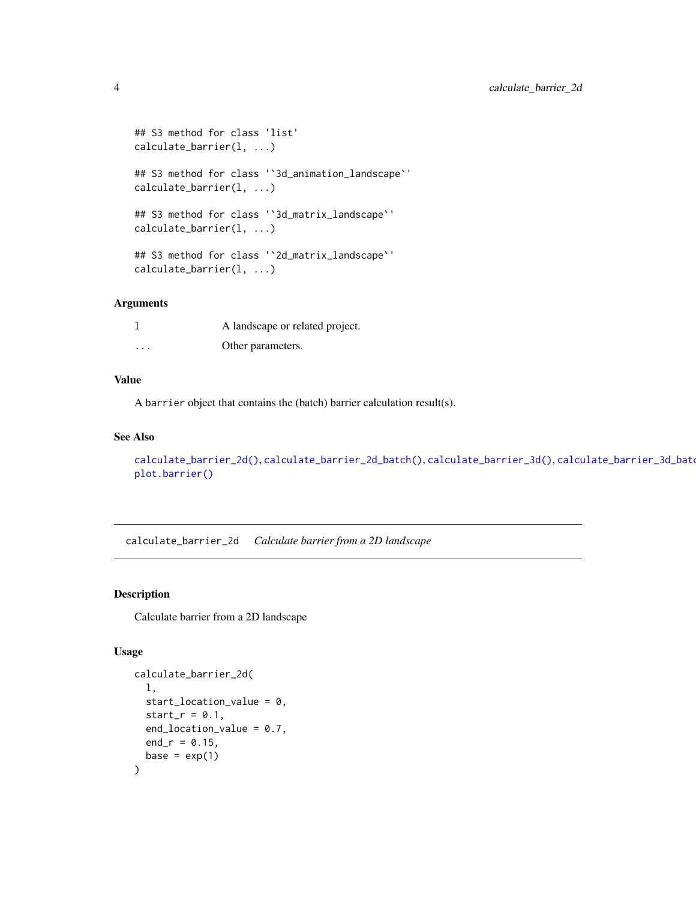```
## S3 method for class 'list'
calculate_barrier(l, ...)
## S3 method for class '`3d_animation_landscape`'
calculate_barrier(l, ...)
## S3 method for class '`3d_matrix_landscape`'
calculate_barrier(l, ...)
## S3 method for class '`2d_matrix_landscape`'
calculate_barrier(l, ...)
```
#### Arguments

|                         | A landscape or related project. |
|-------------------------|---------------------------------|
| $\cdot$ $\cdot$ $\cdot$ | Other parameters.               |

#### Value

A barrier object that contains the (batch) barrier calculation result(s).

#### See Also

```
calculate_barrier_2d()calculate_barrier_2d_batch()calculate_barrier_3d(), calculate_barrier_3d_batd
plot.barrier()
```
<span id="page-3-1"></span>calculate\_barrier\_2d *Calculate barrier from a 2D landscape*

# Description

Calculate barrier from a 2D landscape

# Usage

```
calculate_barrier_2d(
 l,
 start_location_value = 0,
 start_r = 0.1,
 end_location_value = 0.7,
 end_r = 0.15,
 base = exp(1))
```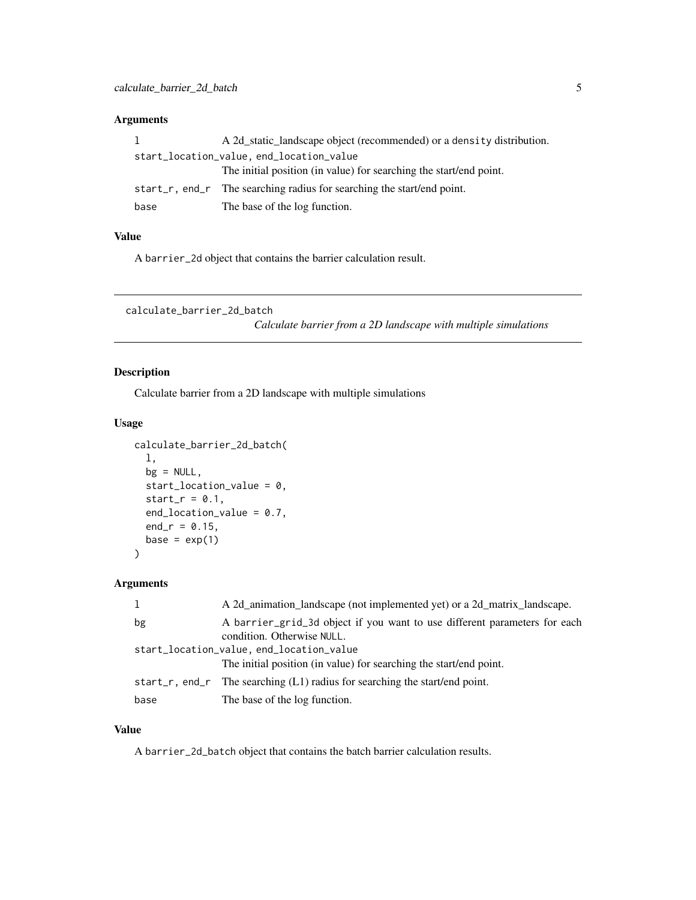# <span id="page-4-0"></span>Arguments

| 1                                        | A 2d static landscape object (recommended) or a density distribution.  |  |  |  |  |
|------------------------------------------|------------------------------------------------------------------------|--|--|--|--|
| start_location_value, end_location_value |                                                                        |  |  |  |  |
|                                          | The initial position (in value) for searching the start/end point.     |  |  |  |  |
|                                          | start_r, end_r The searching radius for searching the start/end point. |  |  |  |  |
| base                                     | The base of the log function.                                          |  |  |  |  |

# Value

A barrier\_2d object that contains the barrier calculation result.

```
calculate_barrier_2d_batch
```
*Calculate barrier from a 2D landscape with multiple simulations*

# Description

Calculate barrier from a 2D landscape with multiple simulations

#### Usage

```
calculate_barrier_2d_batch(
  l,
 bg = NULL,start_location_value = 0,
  start_r = 0.1,
  end_location_value = 0.7,
  end_r = 0.15,
 base = exp(1))
```
# Arguments

|      | A 2d_animation_landscape (not implemented yet) or a 2d_matrix_landscape.                                |
|------|---------------------------------------------------------------------------------------------------------|
| bg   | A barrier_grid_3d object if you want to use different parameters for each<br>condition. Otherwise NULL. |
|      | start_location_value, end_location_value                                                                |
|      | The initial position (in value) for searching the start/end point.                                      |
|      | start_r, end_r The searching $(L1)$ radius for searching the start/end point.                           |
| base | The base of the log function.                                                                           |

# Value

A barrier\_2d\_batch object that contains the batch barrier calculation results.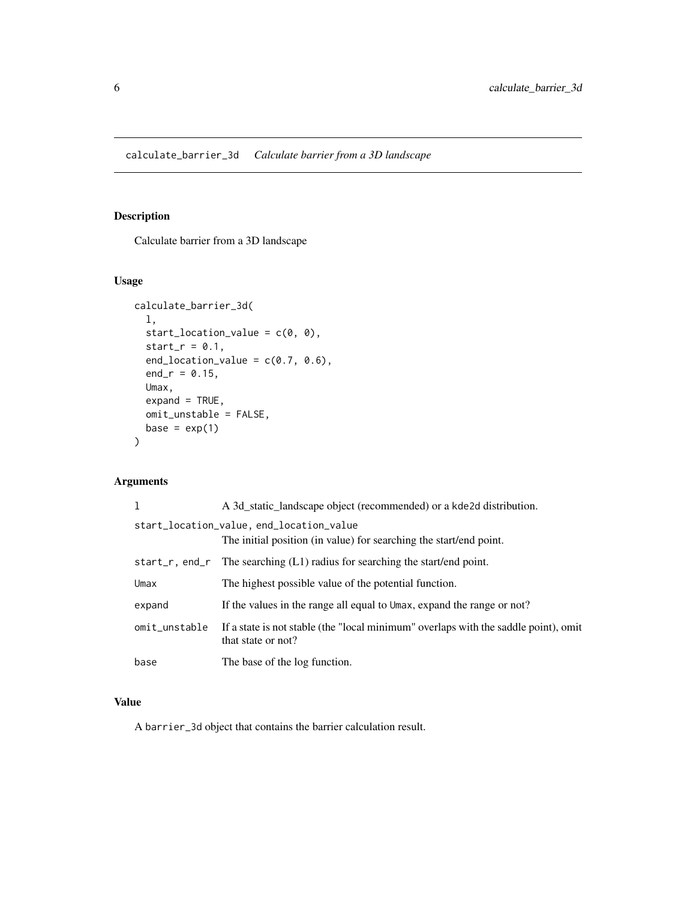<span id="page-5-1"></span><span id="page-5-0"></span>Calculate barrier from a 3D landscape

# Usage

```
calculate_barrier_3d(
  l,
 start_location_value = c(0, 0),
 start_r = 0.1,
 end_location_value = c(0.7, 0.6),
 end_r = 0.15,
 Umax,
 expand = TRUE,omit_unstable = FALSE,
 base = exp(1))
```
# Arguments

|               | A 3d_static_landscape object (recommended) or a kde2d distribution.                                            |
|---------------|----------------------------------------------------------------------------------------------------------------|
|               | start_location_value, end_location_value<br>The initial position (in value) for searching the start/end point. |
|               | start_r, end_r The searching $(L1)$ radius for searching the start/end point.                                  |
| Umax          | The highest possible value of the potential function.                                                          |
| expand        | If the values in the range all equal to Umax, expand the range or not?                                         |
| omit_unstable | If a state is not stable (the "local minimum" overlaps with the saddle point), omit<br>that state or not?      |
| base          | The base of the log function.                                                                                  |

# Value

A barrier\_3d object that contains the barrier calculation result.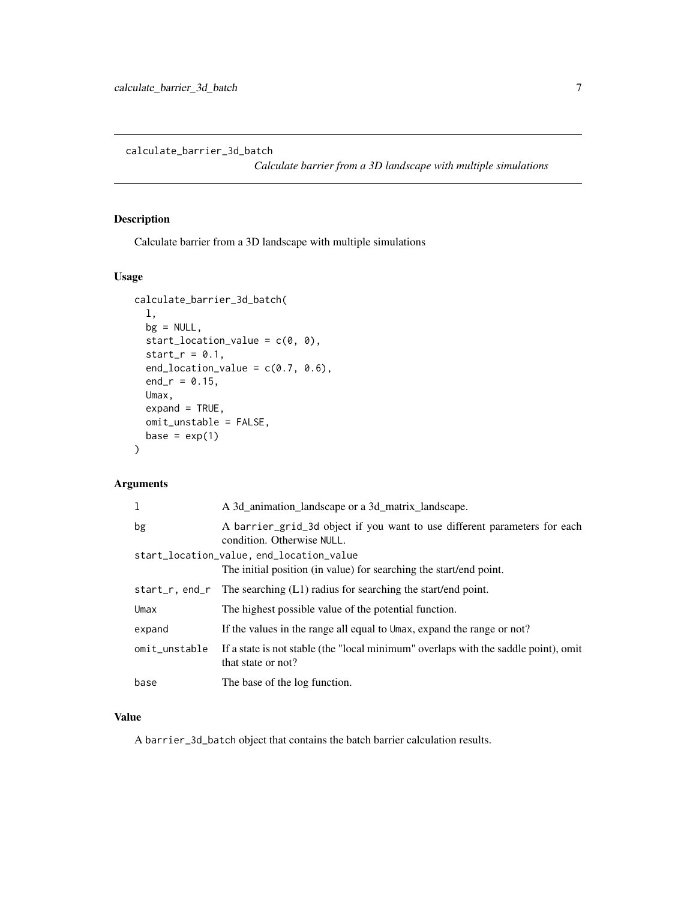<span id="page-6-1"></span><span id="page-6-0"></span>calculate\_barrier\_3d\_batch

*Calculate barrier from a 3D landscape with multiple simulations*

# Description

Calculate barrier from a 3D landscape with multiple simulations

# Usage

```
calculate_barrier_3d_batch(
  l,
 bg = NULL,start_location_value = c(0, 0),
  start_r = 0.1,
  end_location_value = c(0.7, 0.6),
  end_r = 0.15,
 Umax,
  expand = TRUE,omit_unstable = FALSE,
 base = exp(1)\mathcal{L}
```
# Arguments

| 1                                        | A 3d_animation_landscape or a 3d_matrix_landscape.                                                        |  |  |  |
|------------------------------------------|-----------------------------------------------------------------------------------------------------------|--|--|--|
| bg                                       | A barrier_grid_3d object if you want to use different parameters for each<br>condition. Otherwise NULL.   |  |  |  |
| start_location_value, end_location_value |                                                                                                           |  |  |  |
|                                          | The initial position (in value) for searching the start/end point.                                        |  |  |  |
| start_r, end_r                           | The searching $(L1)$ radius for searching the start/end point.                                            |  |  |  |
| Umax                                     | The highest possible value of the potential function.                                                     |  |  |  |
| expand                                   | If the values in the range all equal to Umax, expand the range or not?                                    |  |  |  |
| omit_unstable                            | If a state is not stable (the "local minimum" overlaps with the saddle point), omit<br>that state or not? |  |  |  |
| base                                     | The base of the log function.                                                                             |  |  |  |

# Value

A barrier\_3d\_batch object that contains the batch barrier calculation results.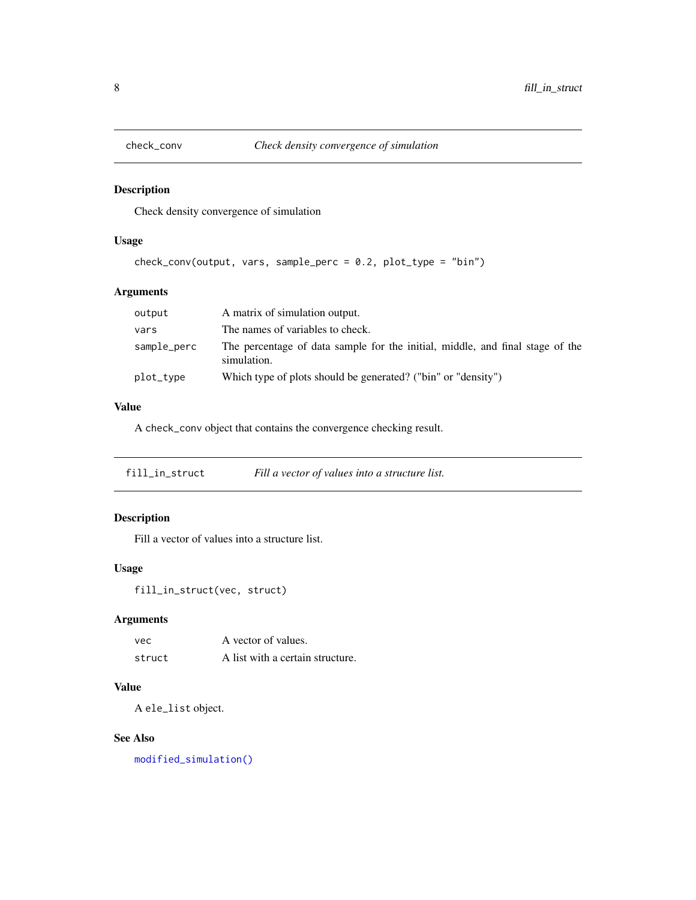<span id="page-7-0"></span>

Check density convergence of simulation

# Usage

check\_conv(output, vars, sample\_perc = 0.2, plot\_type = "bin")

# Arguments

| output      | A matrix of simulation output.                                                               |
|-------------|----------------------------------------------------------------------------------------------|
| vars        | The names of variables to check.                                                             |
| sample_perc | The percentage of data sample for the initial, middle, and final stage of the<br>simulation. |
| plot_type   | Which type of plots should be generated? ("bin" or "density")                                |

# Value

A check\_conv object that contains the convergence checking result.

<span id="page-7-1"></span>fill\_in\_struct *Fill a vector of values into a structure list.*

#### Description

Fill a vector of values into a structure list.

# Usage

```
fill_in_struct(vec, struct)
```
# Arguments

| vec    | A vector of values.              |
|--------|----------------------------------|
| struct | A list with a certain structure. |

#### Value

A ele\_list object.

#### See Also

[modified\\_simulation\(\)](#page-21-2)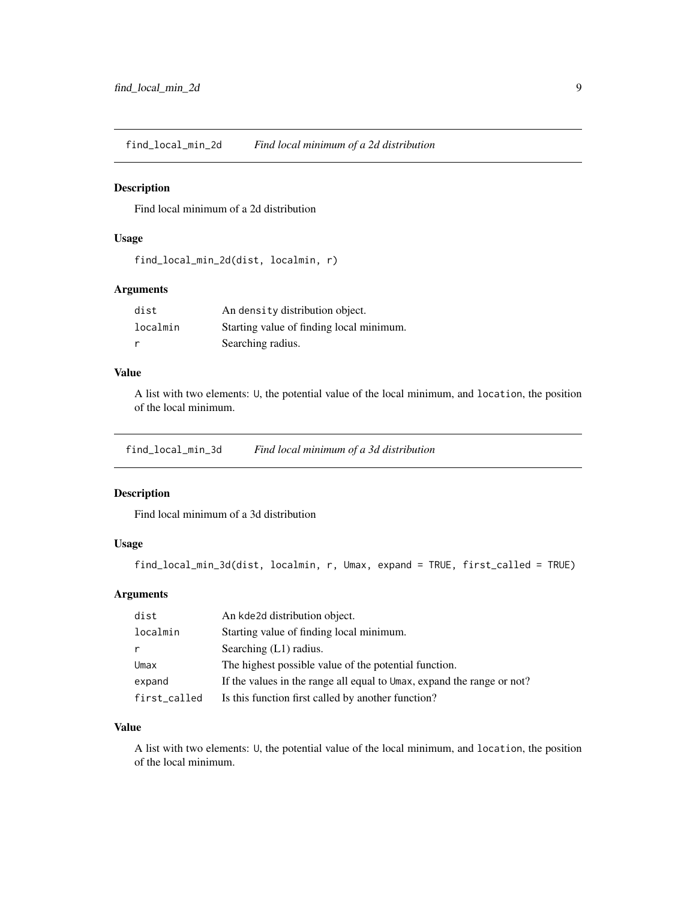<span id="page-8-0"></span>find\_local\_min\_2d *Find local minimum of a 2d distribution*

#### Description

Find local minimum of a 2d distribution

# Usage

```
find_local_min_2d(dist, localmin, r)
```
## Arguments

| dist     | An density distribution object.          |
|----------|------------------------------------------|
| localmin | Starting value of finding local minimum. |
|          | Searching radius.                        |

# Value

A list with two elements: U, the potential value of the local minimum, and location, the position of the local minimum.

find\_local\_min\_3d *Find local minimum of a 3d distribution*

#### Description

Find local minimum of a 3d distribution

# Usage

find\_local\_min\_3d(dist, localmin, r, Umax, expand = TRUE, first\_called = TRUE)

# Arguments

| dist         | An kde2d distribution object.                                          |
|--------------|------------------------------------------------------------------------|
| localmin     | Starting value of finding local minimum.                               |
|              | Searching $(L1)$ radius.                                               |
| Umax         | The highest possible value of the potential function.                  |
| expand       | If the values in the range all equal to Umax, expand the range or not? |
| first_called | Is this function first called by another function?                     |

# Value

A list with two elements: U, the potential value of the local minimum, and location, the position of the local minimum.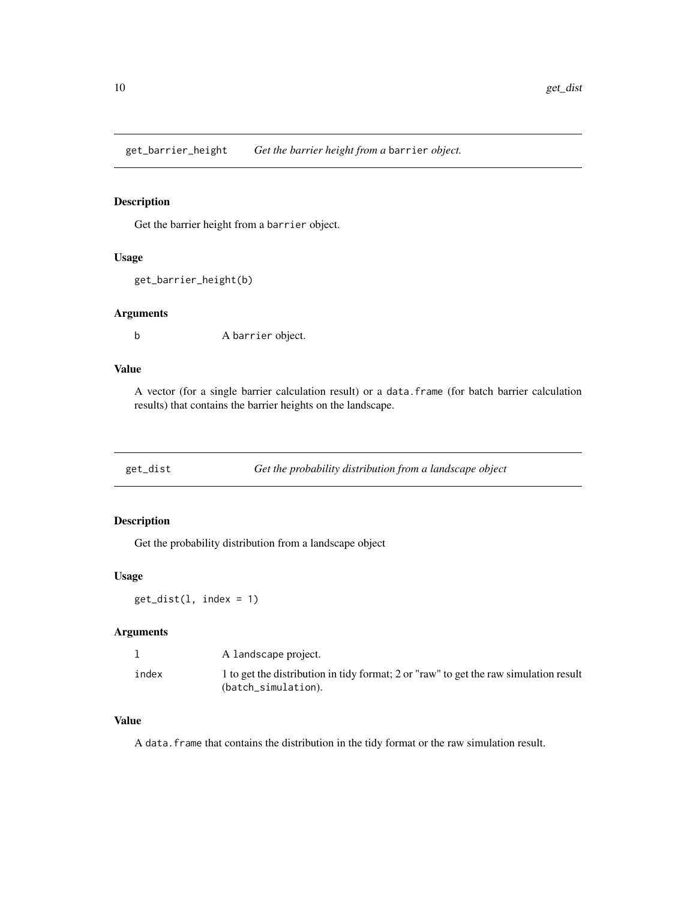<span id="page-9-0"></span>get\_barrier\_height *Get the barrier height from a* barrier *object.*

#### Description

Get the barrier height from a barrier object.

#### Usage

```
get_barrier_height(b)
```
#### Arguments

b A barrier object.

# Value

A vector (for a single barrier calculation result) or a data.frame (for batch barrier calculation results) that contains the barrier heights on the landscape.

get\_dist *Get the probability distribution from a landscape object*

#### Description

Get the probability distribution from a landscape object

#### Usage

 $get\_dist(1, index = 1)$ 

# Arguments

|       | A landscape project.                                                                  |
|-------|---------------------------------------------------------------------------------------|
| index | 1 to get the distribution in tidy format; 2 or "raw" to get the raw simulation result |
|       | (batch_simulation).                                                                   |

## Value

A data.frame that contains the distribution in the tidy format or the raw simulation result.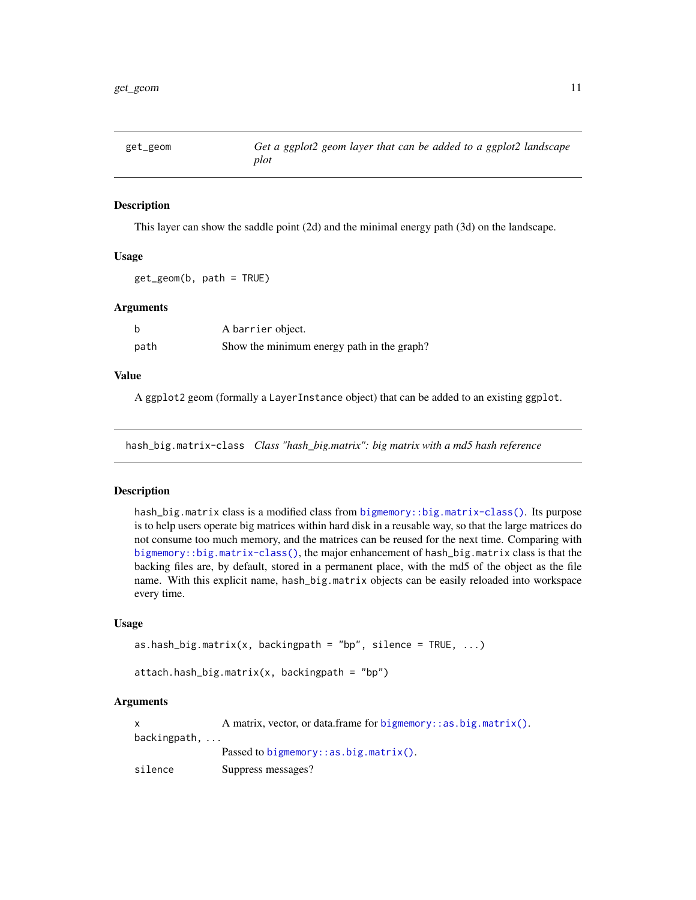<span id="page-10-0"></span>

This layer can show the saddle point (2d) and the minimal energy path (3d) on the landscape.

#### Usage

get\_geom(b, path = TRUE)

#### **Arguments**

| b    | A barrier object.                          |
|------|--------------------------------------------|
| path | Show the minimum energy path in the graph? |

#### Value

A ggplot2 geom (formally a LayerInstance object) that can be added to an existing ggplot.

<span id="page-10-1"></span>hash\_big.matrix-class *Class "hash\_big.matrix": big matrix with a md5 hash reference*

#### Description

hash\_big.matrix class is a modified class from bigmemory: :big.matrix-class(). Its purpose is to help users operate big matrices within hard disk in a reusable way, so that the large matrices do not consume too much memory, and the matrices can be reused for the next time. Comparing with [bigmemory::big.matrix-class\(\)](#page-0-0), the major enhancement of hash\_big.matrix class is that the backing files are, by default, stored in a permanent place, with the md5 of the object as the file name. With this explicit name, hash\_big.matrix objects can be easily reloaded into workspace every time.

# Usage

```
as.hash_big.matrix(x, backingpath = "bp", silence = TRUE, \ldots)
```
 $attach.hash_big.matrix(x, backingpath = "bp")$ 

#### Arguments

x A matrix, vector, or data.frame for [bigmemory::as.big.matrix\(\)](#page-0-0). backingpath, ... Passed to [bigmemory::as.big.matrix\(\)](#page-0-0). silence Suppress messages?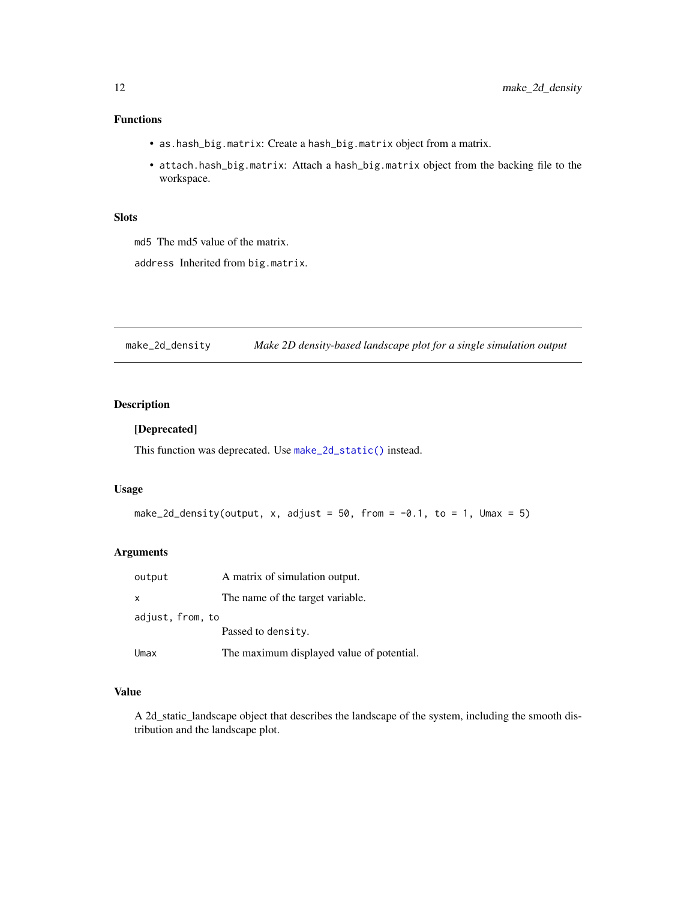# <span id="page-11-0"></span>Functions

- as.hash\_big.matrix: Create a hash\_big.matrix object from a matrix.
- attach.hash\_big.matrix: Attach a hash\_big.matrix object from the backing file to the workspace.

#### Slots

md5 The md5 value of the matrix.

address Inherited from big.matrix.

make\_2d\_density *Make 2D density-based landscape plot for a single simulation output*

#### Description

#### [Deprecated]

This function was deprecated. Use [make\\_2d\\_static\(\)](#page-13-1) instead.

#### Usage

```
make_2d_density(output, x, adjust = 50, from = -0.1, to = 1, Umax = 5)
```
## Arguments

| output           | A matrix of simulation output.            |
|------------------|-------------------------------------------|
| $\times$         | The name of the target variable.          |
| adjust, from, to |                                           |
|                  | Passed to density.                        |
| Umax             | The maximum displayed value of potential. |

#### Value

A 2d\_static\_landscape object that describes the landscape of the system, including the smooth distribution and the landscape plot.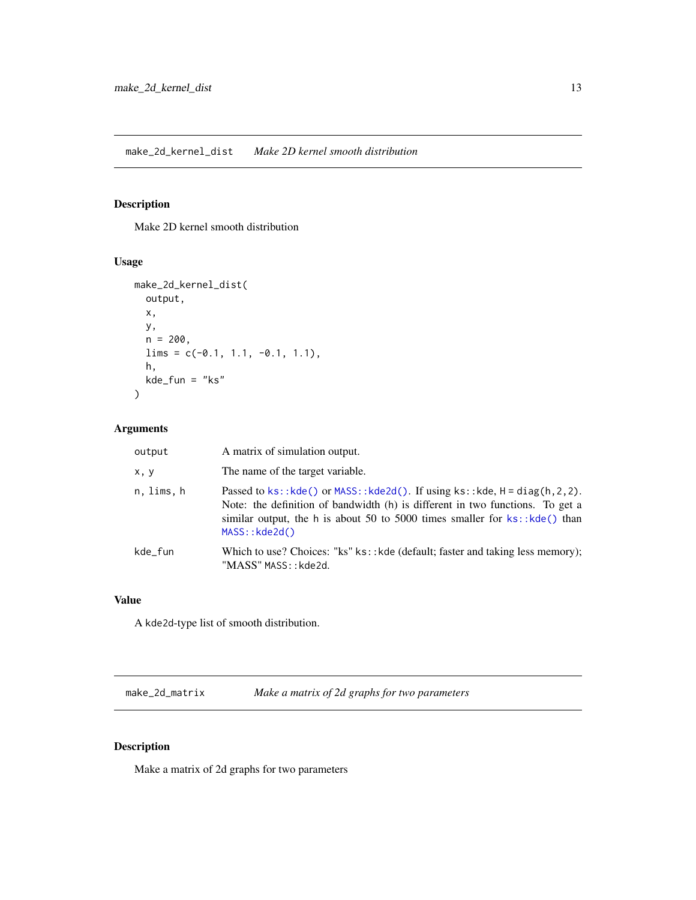<span id="page-12-1"></span><span id="page-12-0"></span>Make 2D kernel smooth distribution

# Usage

```
make_2d_kernel_dist(
  output,
  x,
  y,
  n = 200,
  lims = c(-0.1, 1.1, -0.1, 1.1),h,
  kde_{1}fun = "ks"
\mathcal{L}
```
# Arguments

| output     | A matrix of simulation output.                                                                                                                                                                                                                                          |
|------------|-------------------------------------------------------------------------------------------------------------------------------------------------------------------------------------------------------------------------------------------------------------------------|
| x, y       | The name of the target variable.                                                                                                                                                                                                                                        |
| n, lims, h | Passed to $ks: kde()$ or $MASS: kde2d()$ . If using $ks: kde, H = diag(h, 2, 2)$ .<br>Note: the definition of bandwidth (h) is different in two functions. To get a<br>similar output, the h is about 50 to 5000 times smaller for $ks$ : : kde() than<br>MASS::kde2d() |
| kde_fun    | Which to use? Choices: "ks" ks:: kde (default; faster and taking less memory);<br>"MASS" MASS:: kde2d.                                                                                                                                                                  |

# Value

A kde2d-type list of smooth distribution.

make\_2d\_matrix *Make a matrix of 2d graphs for two parameters*

# Description

Make a matrix of 2d graphs for two parameters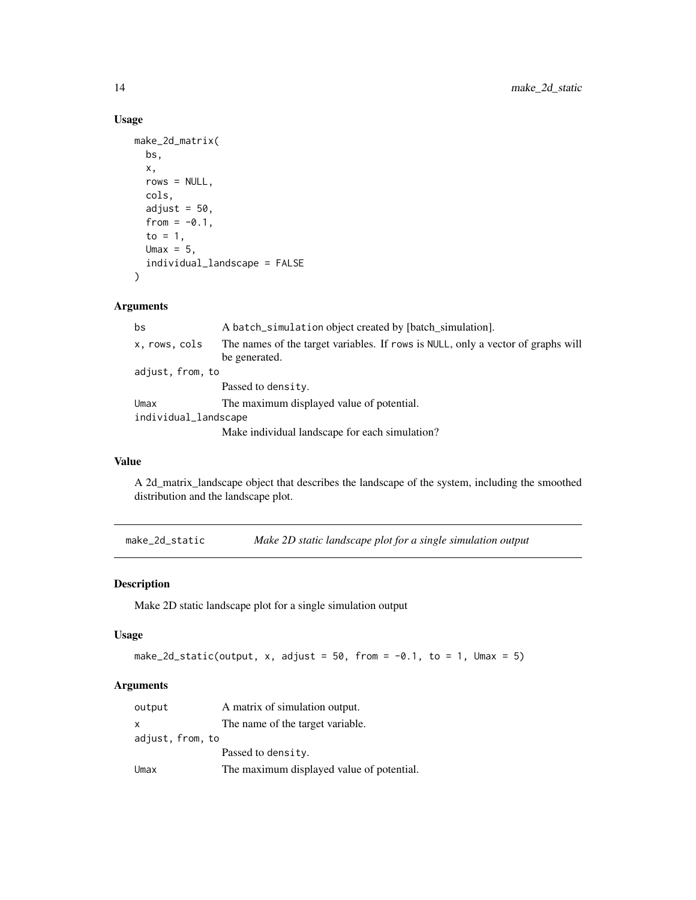# Usage

```
make_2d_matrix(
 bs,
  x,
  rows = NULL,cols,
  adjust = 50,
  from = -0.1,
  to = 1,
 Umax = 5,
  individual_landscape = FALSE
)
```
# Arguments

| bs                   | A batch_simulation object created by [batch simulation].                                          |
|----------------------|---------------------------------------------------------------------------------------------------|
| x, rows, cols        | The names of the target variables. If rows is NULL, only a vector of graphs will<br>be generated. |
| adjust, from, to     |                                                                                                   |
|                      | Passed to density.                                                                                |
| Umax                 | The maximum displayed value of potential.                                                         |
| individual_landscape |                                                                                                   |
|                      | Make individual landscape for each simulation?                                                    |

#### Value

A 2d\_matrix\_landscape object that describes the landscape of the system, including the smoothed distribution and the landscape plot.

<span id="page-13-1"></span>make\_2d\_static *Make 2D static landscape plot for a single simulation output*

# Description

Make 2D static landscape plot for a single simulation output

## Usage

```
make_2d_static(output, x, adjust = 50, from = -0.1, to = 1, Umax = 5)
```
# Arguments

| output           | A matrix of simulation output.            |
|------------------|-------------------------------------------|
| $\mathsf{X}$     | The name of the target variable.          |
| adjust, from, to |                                           |
|                  | Passed to density.                        |
| Umax             | The maximum displayed value of potential. |

<span id="page-13-0"></span>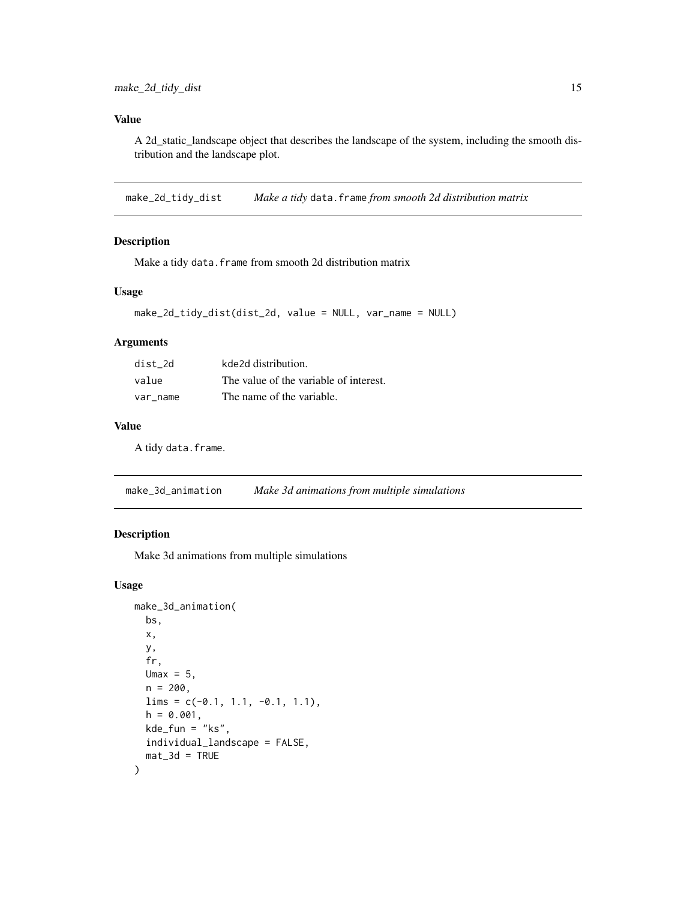## <span id="page-14-0"></span>Value

A 2d\_static\_landscape object that describes the landscape of the system, including the smooth distribution and the landscape plot.

make\_2d\_tidy\_dist *Make a tidy* data.frame *from smooth 2d distribution matrix*

#### Description

Make a tidy data.frame from smooth 2d distribution matrix

#### Usage

```
make_2d_tidy_dist(dist_2d, value = NULL, var_name = NULL)
```
#### Arguments

| dist 2d  | kde2d distribution.                    |
|----------|----------------------------------------|
| value    | The value of the variable of interest. |
| var name | The name of the variable.              |

#### Value

A tidy data.frame.

make\_3d\_animation *Make 3d animations from multiple simulations*

#### Description

Make 3d animations from multiple simulations

#### Usage

```
make_3d_animation(
 bs,
 x,
 y,
  fr,
 Umax = 5,
 n = 200,lims = c(-0.1, 1.1, -0.1, 1.1),h = 0.001,
 kde_fun = "ks",individual_landscape = FALSE,
 mat_3d = TRUE)
```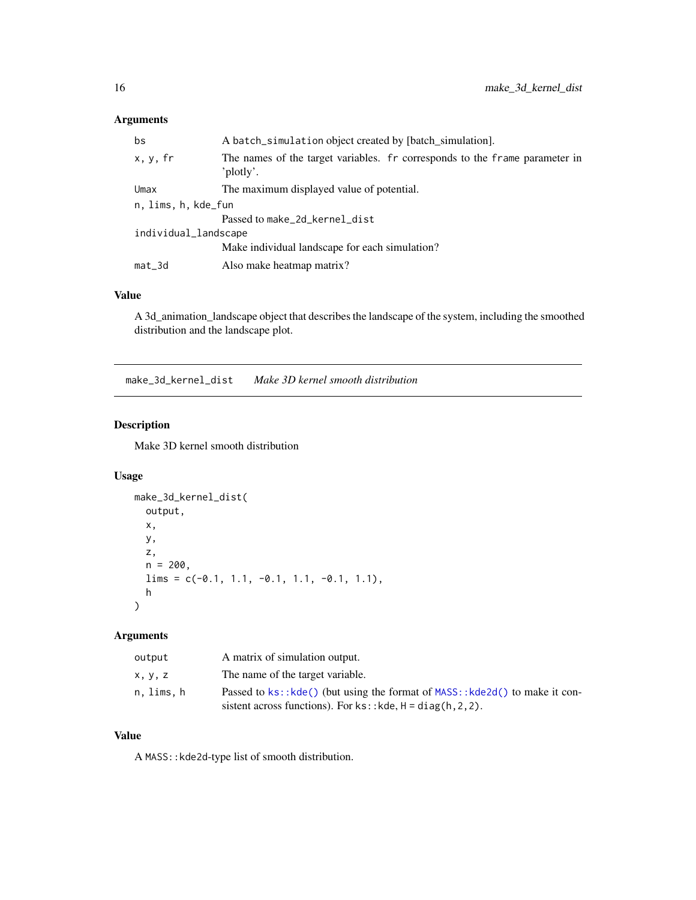# <span id="page-15-0"></span>Arguments

| bs                   | A batch_simulation object created by [batch_simulation].                                  |  |
|----------------------|-------------------------------------------------------------------------------------------|--|
| x, y, fr             | The names of the target variables. For corresponds to the frame parameter in<br>'plotly'. |  |
| Umax                 | The maximum displayed value of potential.                                                 |  |
| n, lims, h, kde_fun  |                                                                                           |  |
|                      | Passed to make_2d_kernel_dist                                                             |  |
| individual_landscape |                                                                                           |  |
|                      | Make individual landscape for each simulation?                                            |  |
| mat_3d               | Also make heatmap matrix?                                                                 |  |
|                      |                                                                                           |  |

# Value

A 3d\_animation\_landscape object that describes the landscape of the system, including the smoothed distribution and the landscape plot.

<span id="page-15-1"></span>make\_3d\_kernel\_dist *Make 3D kernel smooth distribution*

# Description

Make 3D kernel smooth distribution

#### Usage

```
make_3d_kernel_dist(
 output,
 x,
 y,
 z,
 n = 200,
 lims = c(-0.1, 1.1, -0.1, 1.1, -0.1, 1.1),h
)
```
# Arguments

| output     | A matrix of simulation output.                                                |
|------------|-------------------------------------------------------------------------------|
| x, y, z    | The name of the target variable.                                              |
| n, lims, h | Passed to ks:: kde() (but using the format of MASS: : kde2d() to make it con- |
|            | sistent across functions). For $ks$ : : kde, $H = diag(h, 2, 2)$ .            |

# Value

A MASS::kde2d-type list of smooth distribution.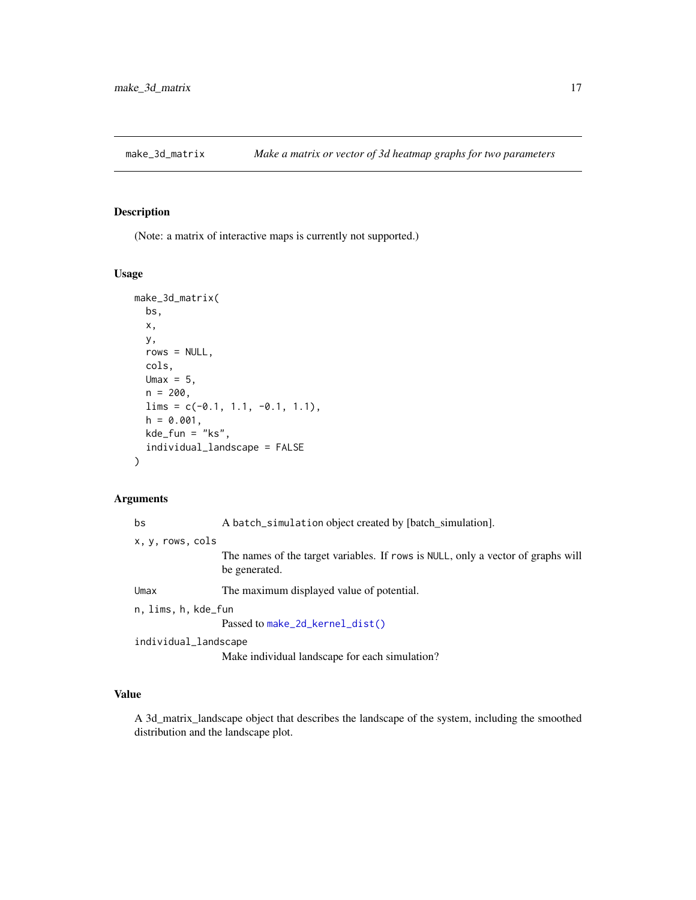<span id="page-16-0"></span>

(Note: a matrix of interactive maps is currently not supported.)

# Usage

```
make_3d_matrix(
 bs,
 x,
 y,
 rows = NULL,cols,
 Umax = 5,
 n = 200,lims = c(-0.1, 1.1, -0.1, 1.1),h = 0.001,kde_fun = "ks",individual_landscape = FALSE
)
```
# Arguments

| bs                   | A batch_simulation object created by [batch_simulation].                                          |  |
|----------------------|---------------------------------------------------------------------------------------------------|--|
| x, y, rows, cols     |                                                                                                   |  |
|                      | The names of the target variables. If rows is NULL, only a vector of graphs will<br>be generated. |  |
| Umax                 | The maximum displayed value of potential.                                                         |  |
| n, lims, h, kde_fun  |                                                                                                   |  |
|                      | Passed to make_2d_kernel_dist()                                                                   |  |
| individual_landscape |                                                                                                   |  |
|                      | Make individual landscape for each simulation?                                                    |  |

# Value

A 3d\_matrix\_landscape object that describes the landscape of the system, including the smoothed distribution and the landscape plot.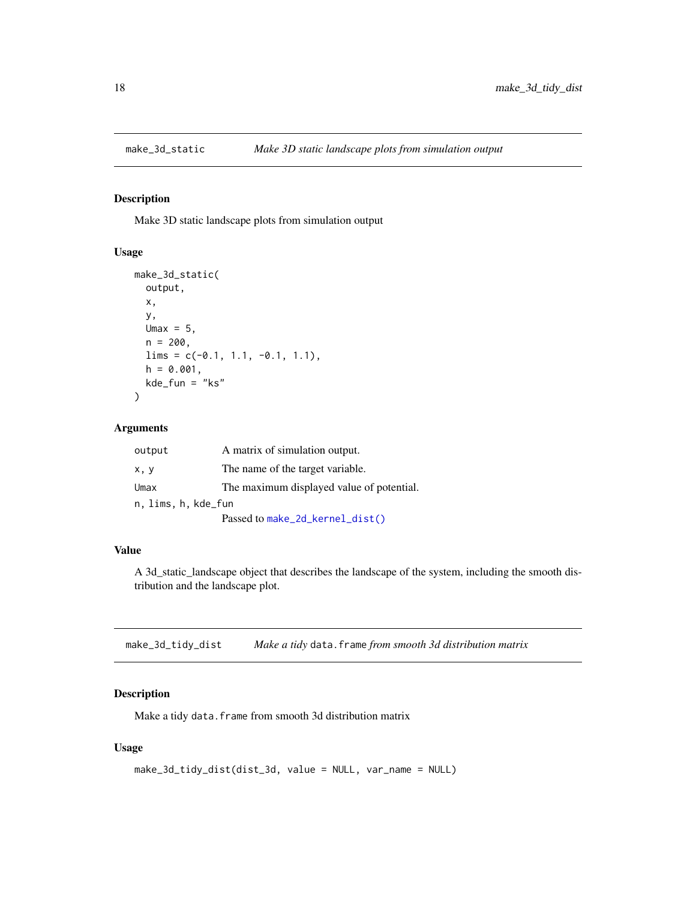<span id="page-17-0"></span>

Make 3D static landscape plots from simulation output

#### Usage

```
make_3d_static(
 output,
 x,
 y,
 Umax = 5,
 n = 200,lims = c(-0.1, 1.1, -0.1, 1.1),h = 0.001,kde_fun = "ks"
)
```
#### Arguments

| output              | A matrix of simulation output.            |  |
|---------------------|-------------------------------------------|--|
| x, y                | The name of the target variable.          |  |
| Umax                | The maximum displayed value of potential. |  |
| n, lims, h, kde_fun |                                           |  |
|                     | Passed to make_2d_kernel_dist()           |  |

# Value

A 3d\_static\_landscape object that describes the landscape of the system, including the smooth distribution and the landscape plot.

make\_3d\_tidy\_dist *Make a tidy* data.frame *from smooth 3d distribution matrix*

# Description

Make a tidy data.frame from smooth 3d distribution matrix

## Usage

```
make_3d_tidy_dist(dist_3d, value = NULL, var_name = NULL)
```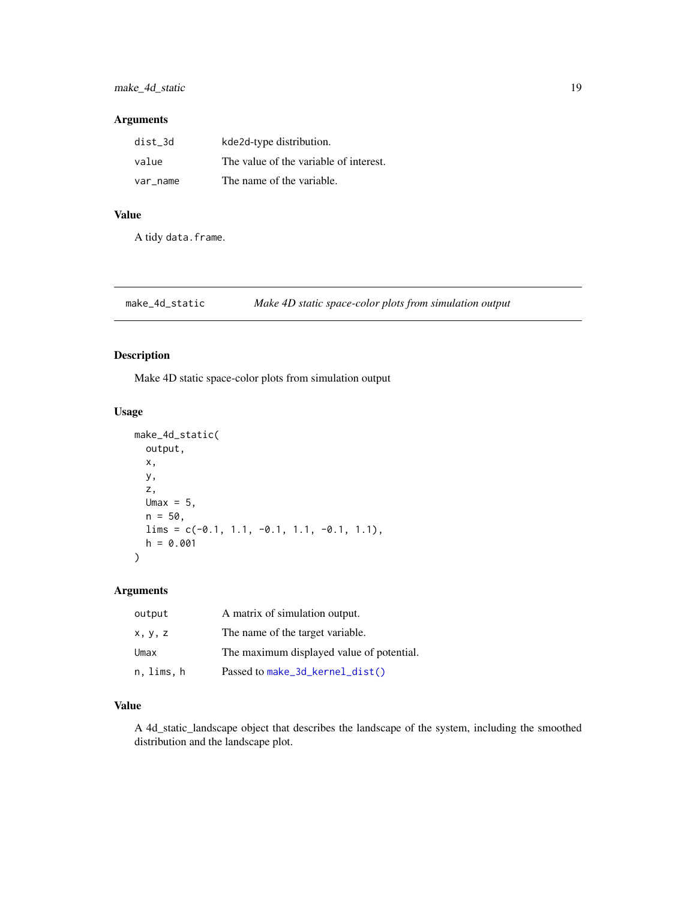# <span id="page-18-0"></span>Arguments

| dist 3d  | kde2d-type distribution.               |
|----------|----------------------------------------|
| value    | The value of the variable of interest. |
| var name | The name of the variable.              |

# Value

A tidy data.frame.

make\_4d\_static *Make 4D static space-color plots from simulation output*

# Description

Make 4D static space-color plots from simulation output

# Usage

```
make_4d_static(
 output,
 x,
 y,
 z,
 Umax = 5,
 n = 50,
 lims = c(-0.1, 1.1, -0.1, 1.1, -0.1, 1.1),h = 0.001)
```
# Arguments

| output     | A matrix of simulation output.            |
|------------|-------------------------------------------|
| x, y, z    | The name of the target variable.          |
| Umax       | The maximum displayed value of potential. |
| n, lims, h | Passed to make_3d_kernel_dist()           |

#### Value

A 4d\_static\_landscape object that describes the landscape of the system, including the smoothed distribution and the landscape plot.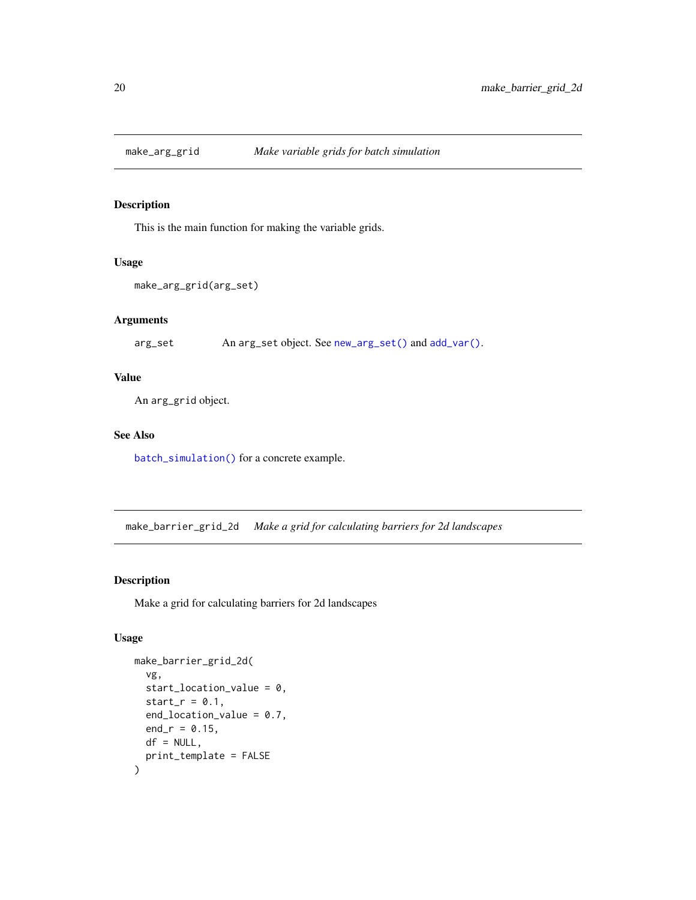<span id="page-19-1"></span><span id="page-19-0"></span>

This is the main function for making the variable grids.

# Usage

```
make_arg_grid(arg_set)
```
# Arguments

arg\_set An arg\_set object. See [new\\_arg\\_set\(\)](#page-23-1) and [add\\_var\(\)](#page-24-1).

# Value

An arg\_grid object.

#### See Also

[batch\\_simulation\(\)](#page-21-1) for a concrete example.

make\_barrier\_grid\_2d *Make a grid for calculating barriers for 2d landscapes*

# Description

Make a grid for calculating barriers for 2d landscapes

# Usage

```
make_barrier_grid_2d(
  vg,
  start_location_value = 0,
  start_r = 0.1,
  end_location_value = 0.7,
  end_r = 0.15,
 df = NULL,print_template = FALSE
\mathcal{E}
```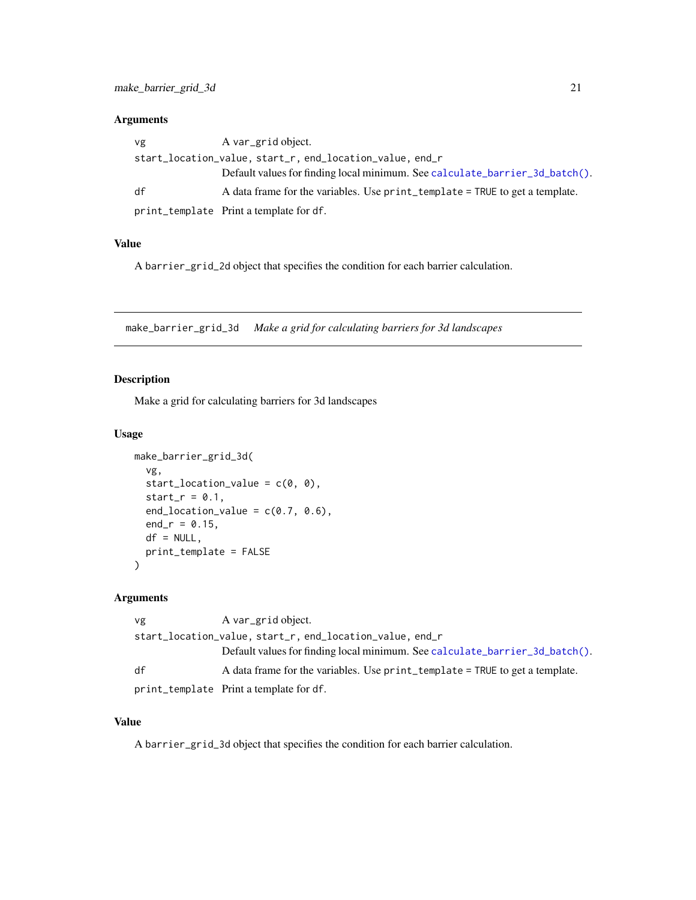# <span id="page-20-0"></span>Arguments

| vg | A var_grid object.                                                           |
|----|------------------------------------------------------------------------------|
|    | start_location_value, start_r, end_location_value, end_r                     |
|    | Default values for finding local minimum. See calculate_barrier_3d_batch().  |
| df | A data frame for the variables. Use print_template = TRUE to get a template. |
|    | print_template Print a template for df.                                      |

#### Value

A barrier\_grid\_2d object that specifies the condition for each barrier calculation.

make\_barrier\_grid\_3d *Make a grid for calculating barriers for 3d landscapes*

# Description

Make a grid for calculating barriers for 3d landscapes

#### Usage

```
make_barrier_grid_3d(
  vg,
  start_location_value = c(0, 0),
  start_r = 0.1,
  end_location_value = c(0.7, 0.6),
  end_r = 0.15,
 df = NULL,print_template = FALSE
\mathcal{L}
```
# Arguments

| vg | A var grid object.                                                           |
|----|------------------------------------------------------------------------------|
|    |                                                                              |
|    | Default values for finding local minimum. See calculate_barrier_3d_batch().  |
| df | A data frame for the variables. Use print_template = TRUE to get a template. |
|    | print_template Print a template for df.                                      |

# Value

A barrier\_grid\_3d object that specifies the condition for each barrier calculation.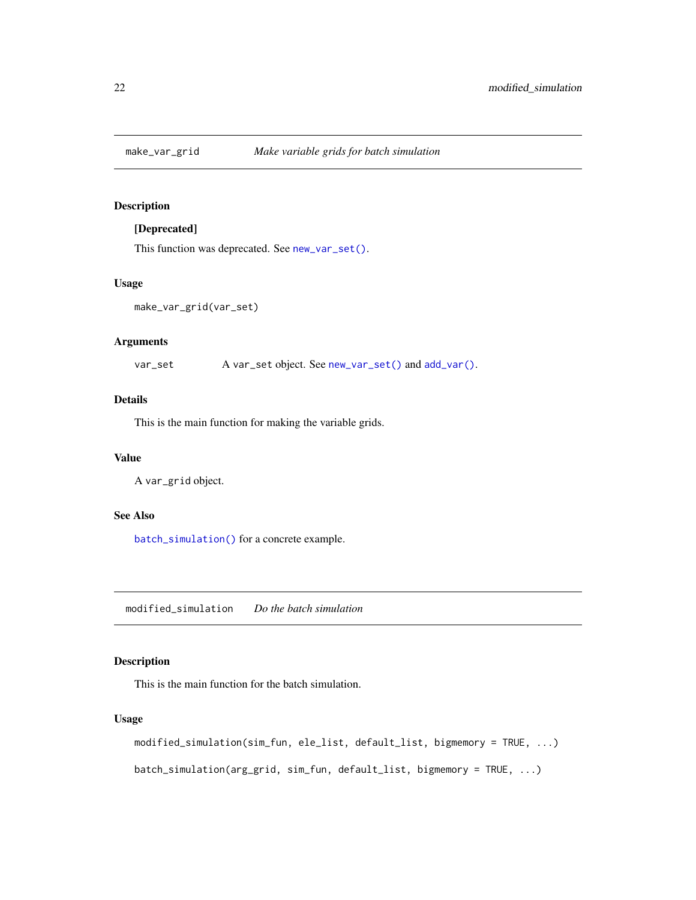<span id="page-21-3"></span><span id="page-21-0"></span>

# [Deprecated]

This function was deprecated. See [new\\_var\\_set\(\)](#page-24-2).

#### Usage

make\_var\_grid(var\_set)

#### Arguments

var\_set A var\_set object. See [new\\_var\\_set\(\)](#page-24-2) and [add\\_var\(\)](#page-24-1).

# Details

This is the main function for making the variable grids.

# Value

A var\_grid object.

#### See Also

[batch\\_simulation\(\)](#page-21-1) for a concrete example.

<span id="page-21-2"></span>modified\_simulation *Do the batch simulation*

#### <span id="page-21-1"></span>Description

This is the main function for the batch simulation.

#### Usage

```
modified_simulation(sim_fun, ele_list, default_list, bigmemory = TRUE, ...)
batch_simulation(arg_grid, sim_fun, default_list, bigmemory = TRUE, ...)
```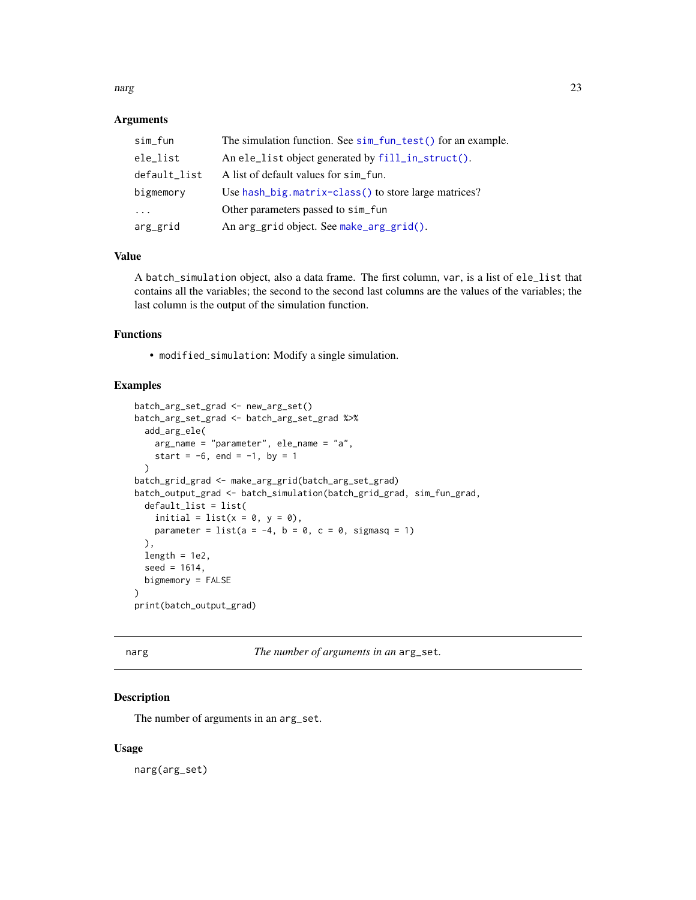#### <span id="page-22-0"></span>narg 23

#### **Arguments**

| sim_fun      | The simulation function. See sim_fun_test() for an example. |  |
|--------------|-------------------------------------------------------------|--|
| ele_list     | An ele_list object generated by fill_in_struct().           |  |
| default_list | A list of default values for sim fun.                       |  |
| bigmemory    | Use hash_big.matrix-class() to store large matrices?        |  |
| $\cdots$     | Other parameters passed to sim_fun                          |  |
| arg_grid     | An arg_grid object. See make_arg_grid().                    |  |

# Value

A batch\_simulation object, also a data frame. The first column, var, is a list of ele\_list that contains all the variables; the second to the second last columns are the values of the variables; the last column is the output of the simulation function.

# Functions

• modified\_simulation: Modify a single simulation.

#### Examples

```
batch_arg_set_grad <- new_arg_set()
batch_arg_set_grad <- batch_arg_set_grad %>%
 add_arg_ele(
   arg_name = "parameter", ele_name = "a",
   start = -6, end = -1, by = 1
 \lambdabatch_grid_grad <- make_arg_grid(batch_arg_set_grad)
batch_output_grad <- batch_simulation(batch_grid_grad, sim_fun_grad,
 default_list = list(
   initial = list(x = 0, y = 0),
   parameter = list(a = -4, b = 0, c = 0, sigmasq = 1)
 ),
 length = 1e2,seed = 1614,
 bigmemory = FALSE
\lambdaprint(batch_output_grad)
```

| . .<br>. .<br>× |  |  |  |  |  |
|-----------------|--|--|--|--|--|
|-----------------|--|--|--|--|--|

The number of arguments in an arg\_set.

# Description

The number of arguments in an arg\_set.

#### Usage

narg(arg\_set)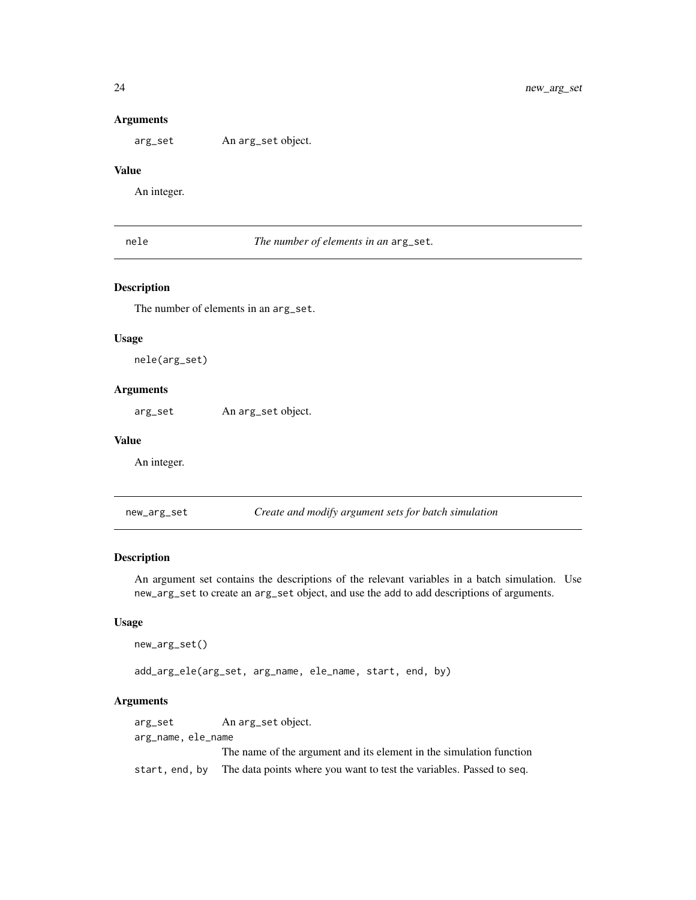#### Arguments

arg\_set An arg\_set object.

#### Value

An integer.

nele *The number of elements in an* arg\_set*.*

# Description

The number of elements in an arg\_set.

#### Usage

nele(arg\_set)

#### Arguments

arg\_set An arg\_set object.

#### Value

An integer.

<span id="page-23-1"></span>new\_arg\_set *Create and modify argument sets for batch simulation*

#### Description

An argument set contains the descriptions of the relevant variables in a batch simulation. Use new\_arg\_set to create an arg\_set object, and use the add to add descriptions of arguments.

#### Usage

```
new_arg_set()
```
add\_arg\_ele(arg\_set, arg\_name, ele\_name, start, end, by)

#### Arguments

arg\_set An arg\_set object. arg\_name, ele\_name The name of the argument and its element in the simulation function start, end, by The data points where you want to test the variables. Passed to seq.

<span id="page-23-0"></span>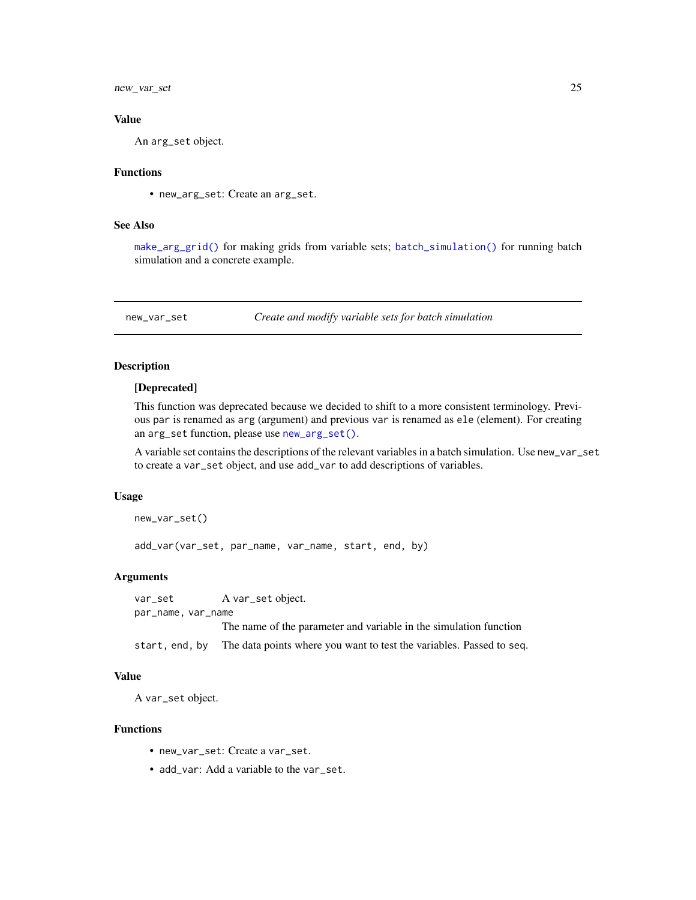<span id="page-24-0"></span>new\_var\_set 25

#### Value

An arg\_set object.

#### Functions

• new\_arg\_set: Create an arg\_set.

#### See Also

[make\\_arg\\_grid\(\)](#page-19-1) for making grids from variable sets; [batch\\_simulation\(\)](#page-21-1) for running batch simulation and a concrete example.

<span id="page-24-2"></span>new\_var\_set *Create and modify variable sets for batch simulation*

#### <span id="page-24-1"></span>Description

#### [Deprecated]

This function was deprecated because we decided to shift to a more consistent terminology. Previous par is renamed as arg (argument) and previous var is renamed as ele (element). For creating an arg\_set function, please use [new\\_arg\\_set\(\)](#page-23-1).

A variable set contains the descriptions of the relevant variables in a batch simulation. Use new\_var\_set to create a var\_set object, and use add\_var to add descriptions of variables.

#### Usage

```
new_var_set()
```
add\_var(var\_set, par\_name, var\_name, start, end, by)

#### Arguments

var\_set A var\_set object. par\_name, var\_name

The name of the parameter and variable in the simulation function

start, end, by The data points where you want to test the variables. Passed to seq.

#### Value

A var\_set object.

#### Functions

- new\_var\_set: Create a var\_set.
- add\_var: Add a variable to the var\_set.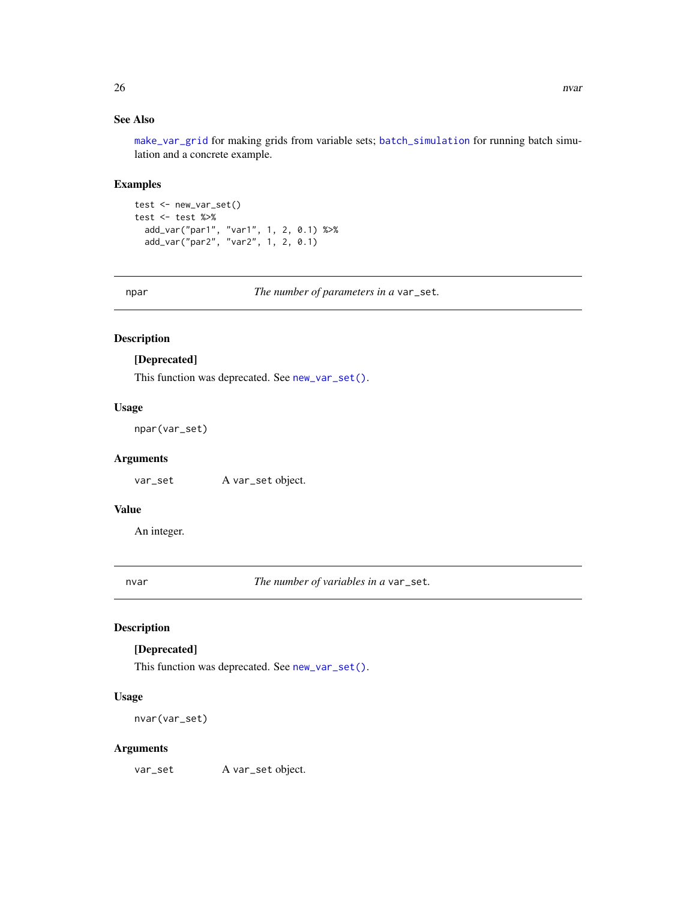# <span id="page-25-0"></span>See Also

[make\\_var\\_grid](#page-21-3) for making grids from variable sets; [batch\\_simulation](#page-21-1) for running batch simulation and a concrete example.

#### Examples

```
test <- new_var_set()
test <- test %>%
  add_var("par1", "var1", 1, 2, 0.1) %>%
  add_var("par2", "var2", 1, 2, 0.1)
```
npar *The number of parameters in a* var\_set*.*

# Description

#### [Deprecated]

This function was deprecated. See [new\\_var\\_set\(\)](#page-24-2).

#### Usage

npar(var\_set)

#### Arguments

var\_set A var\_set object.

#### Value

An integer.

nvar *The number of variables in a* var\_set*.*

# Description

# [Deprecated]

This function was deprecated. See [new\\_var\\_set\(\)](#page-24-2).

#### Usage

nvar(var\_set)

#### Arguments

var\_set A var\_set object.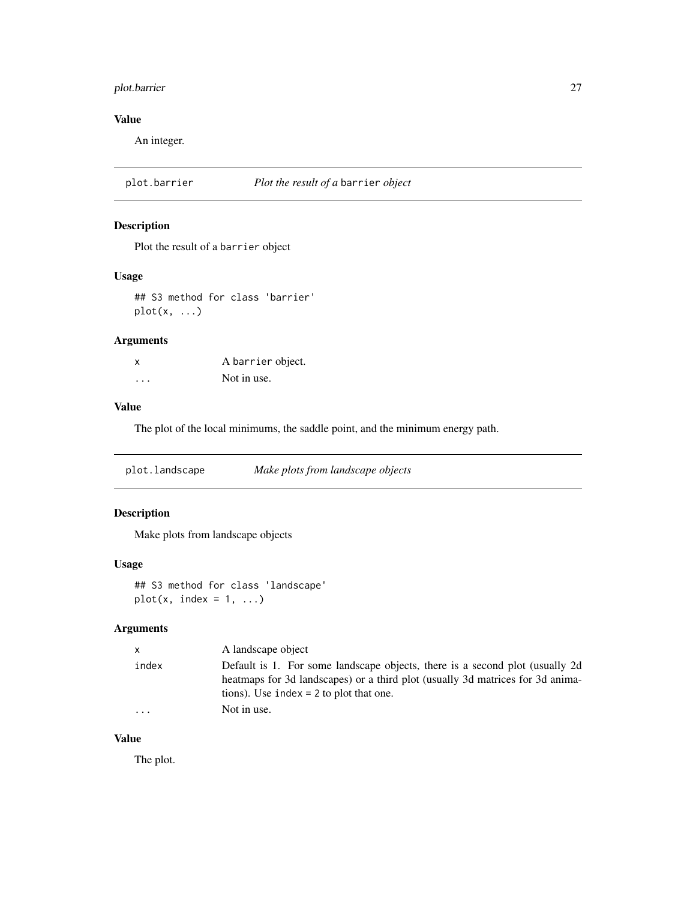# <span id="page-26-0"></span>plot.barrier 27

# Value

An integer.

<span id="page-26-1"></span>plot.barrier *Plot the result of a* barrier *object*

# Description

Plot the result of a barrier object

## Usage

## S3 method for class 'barrier' plot(x, ...)

# Arguments

| X | A barrier object. |
|---|-------------------|
| . | Not in use.       |

# Value

The plot of the local minimums, the saddle point, and the minimum energy path.

plot.landscape *Make plots from landscape objects*

# Description

Make plots from landscape objects

#### Usage

```
## S3 method for class 'landscape'
plot(x, index = 1, ...)
```
# Arguments

| $\mathsf{x}$ | A landscape object                                                                                                                                                                                           |
|--------------|--------------------------------------------------------------------------------------------------------------------------------------------------------------------------------------------------------------|
| index        | Default is 1. For some landscape objects, there is a second plot (usually 2d)<br>heatmaps for 3d landscapes) or a third plot (usually 3d matrices for 3d anima-<br>tions). Use index $= 2$ to plot that one. |
| $\cdot$      | Not in use.                                                                                                                                                                                                  |

# Value

The plot.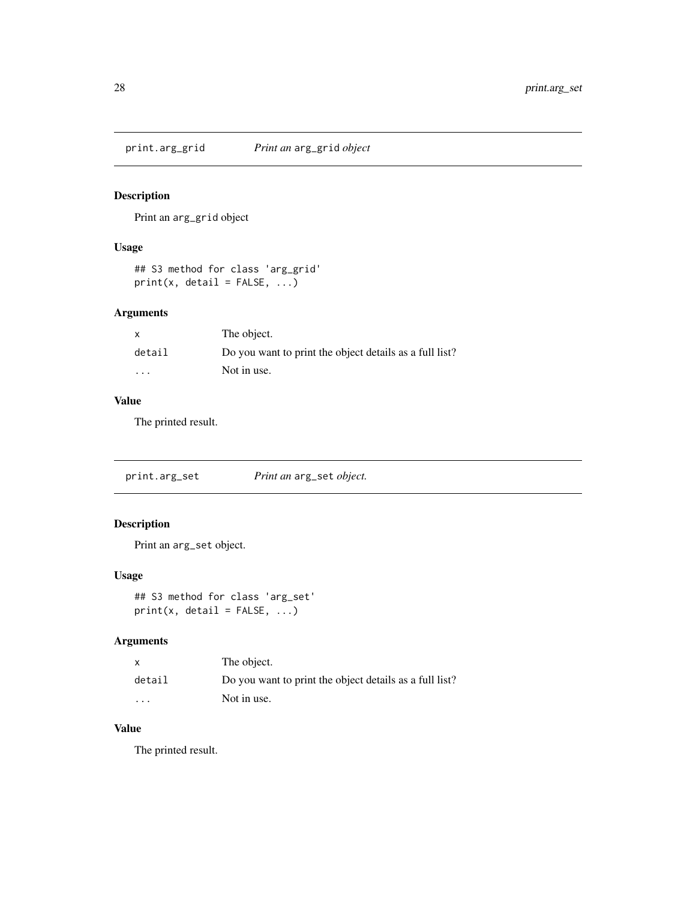<span id="page-27-0"></span>print.arg\_grid *Print an* arg\_grid *object*

# Description

Print an arg\_grid object

# Usage

```
## S3 method for class 'arg_grid'
print(x, detail = FALSE, ...)
```
# Arguments

| x                       | The object.                                             |
|-------------------------|---------------------------------------------------------|
| detail                  | Do you want to print the object details as a full list? |
| $\cdot$ $\cdot$ $\cdot$ | Not in use.                                             |

# Value

The printed result.

print.arg\_set *Print an* arg\_set *object.*

# Description

Print an arg\_set object.

#### Usage

## S3 method for class 'arg\_set'  $print(x, detail = FALSE, ...)$ 

# Arguments

|         | The object.                                             |
|---------|---------------------------------------------------------|
| detail  | Do you want to print the object details as a full list? |
| $\cdot$ | Not in use.                                             |

# Value

The printed result.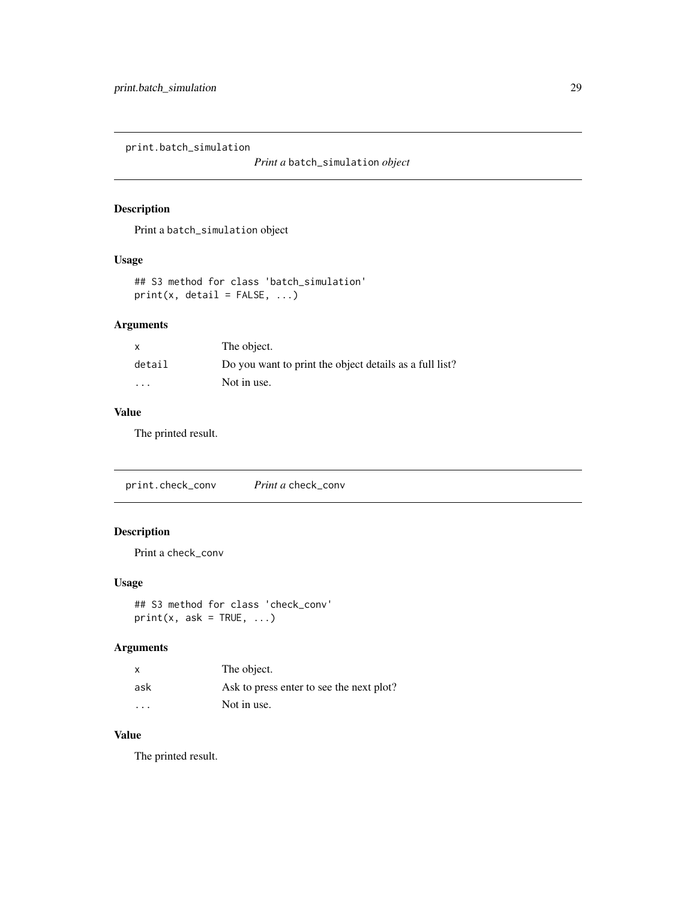<span id="page-28-0"></span>print.batch\_simulation

*Print a* batch\_simulation *object*

# Description

Print a batch\_simulation object

#### Usage

```
## S3 method for class 'batch_simulation'
print(x, detail = FALSE, ...)
```
# Arguments

| $\mathsf{x}$ | The object.                                             |
|--------------|---------------------------------------------------------|
| detail       | Do you want to print the object details as a full list? |
| .            | Not in use.                                             |

# Value

The printed result.

print.check\_conv *Print a* check\_conv

# Description

Print a check\_conv

#### Usage

## S3 method for class 'check\_conv'  $print(x, ask = TRUE, ...)$ 

# Arguments

| X       | The object.                              |
|---------|------------------------------------------|
| ask     | Ask to press enter to see the next plot? |
| $\cdot$ | Not in use.                              |

#### Value

The printed result.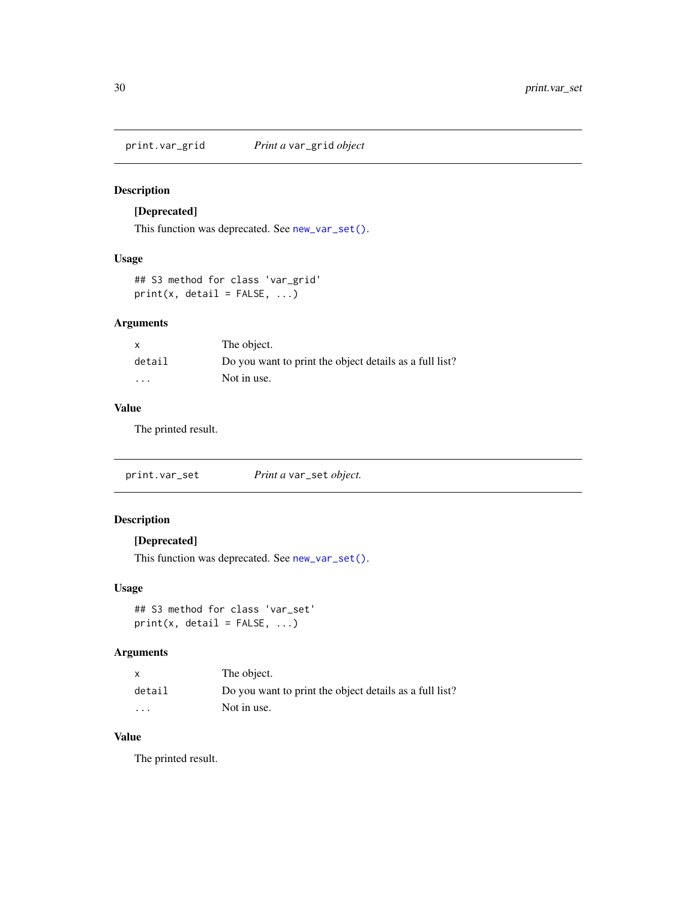<span id="page-29-0"></span>print.var\_grid *Print a* var\_grid *object*

# Description

# [Deprecated]

This function was deprecated. See [new\\_var\\_set\(\)](#page-24-2).

#### Usage

## S3 method for class 'var\_grid'  $print(x, detail = FALSE, ...)$ 

# Arguments

| x                       | The object.                                             |
|-------------------------|---------------------------------------------------------|
| detail                  | Do you want to print the object details as a full list? |
| $\cdot$ $\cdot$ $\cdot$ | Not in use.                                             |

#### Value

The printed result.

print.var\_set *Print a* var\_set *object.*

# Description

# [Deprecated]

This function was deprecated. See [new\\_var\\_set\(\)](#page-24-2).

# Usage

```
## S3 method for class 'var_set'
print(x, detail = FALSE, ...)
```
#### Arguments

| x                       | The object.                                             |
|-------------------------|---------------------------------------------------------|
| detail                  | Do you want to print the object details as a full list? |
| $\cdot$ $\cdot$ $\cdot$ | Not in use.                                             |

# Value

The printed result.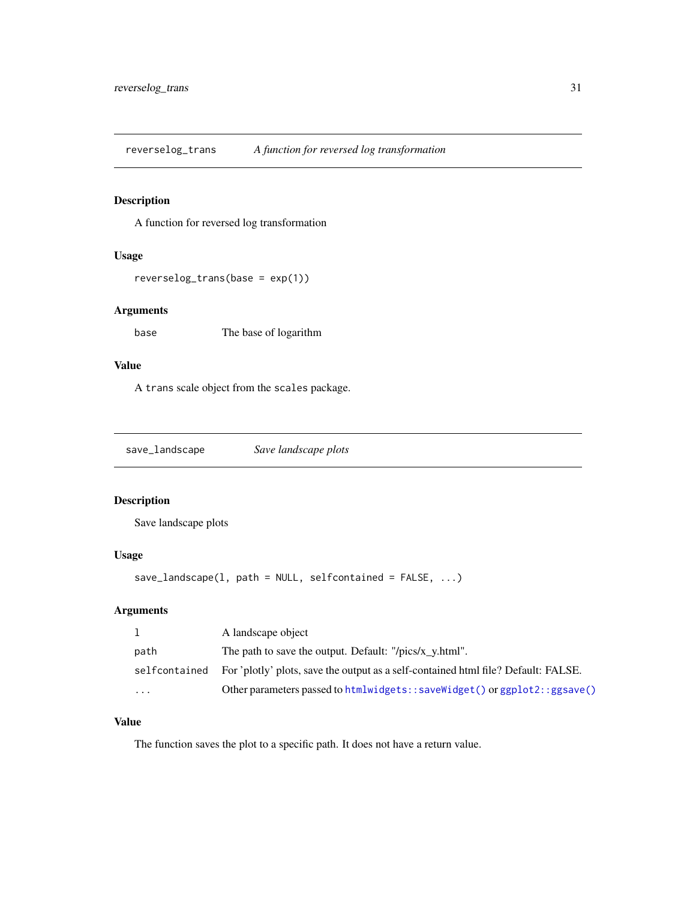<span id="page-30-0"></span>reverselog\_trans *A function for reversed log transformation*

#### Description

A function for reversed log transformation

# Usage

```
reverselog_trans(base = exp(1))
```
## Arguments

base The base of logarithm

#### Value

A trans scale object from the scales package.

save\_landscape *Save landscape plots*

# Description

Save landscape plots

# Usage

```
save_landscape(1, path = NULL, selfcontained = FALSE, ...)
```
# Arguments

|         | A landscape object                                                                                |
|---------|---------------------------------------------------------------------------------------------------|
| path    | The path to save the output. Default: "/pics/x y.html".                                           |
|         | self contained For 'plotly' plots, save the output as a self-contained html file? Default: FALSE. |
| $\cdot$ | Other parameters passed to htmlwidgets: : saveWidget() or ggplot2: : ggsave()                     |

#### Value

The function saves the plot to a specific path. It does not have a return value.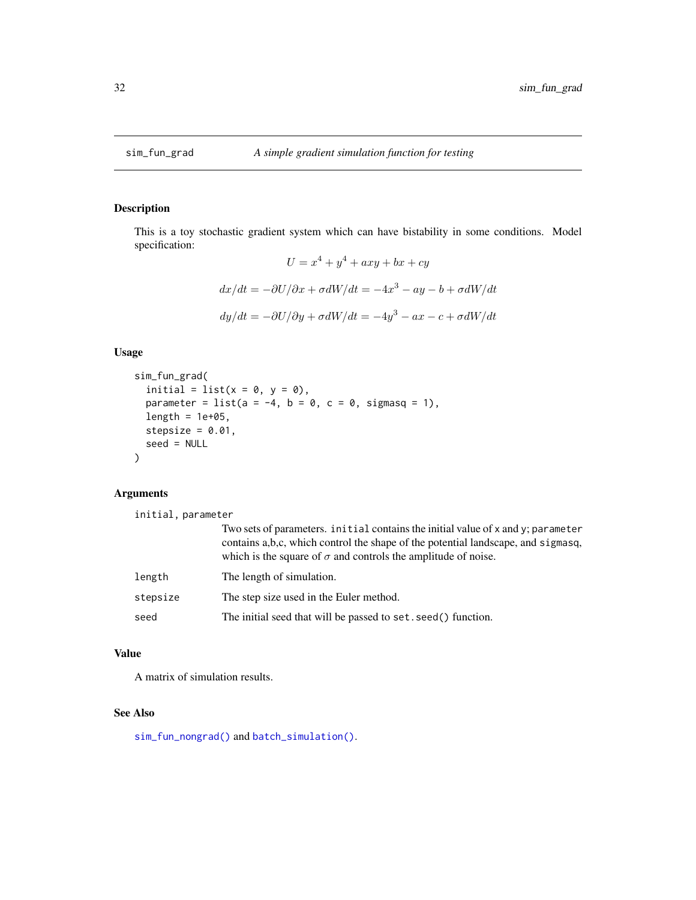<span id="page-31-1"></span><span id="page-31-0"></span>

This is a toy stochastic gradient system which can have bistability in some conditions. Model specification:

$$
U = x4 + y4 + axy + bx + cy
$$

$$
dx/dt = -\partial U/\partial x + \sigma dW/dt = -4x3 - ay - b + \sigma dW/dt
$$

$$
dy/dt = -\partial U/\partial y + \sigma dW/dt = -4y3 - ax - c + \sigma dW/dt
$$

# Usage

```
sim_fun_grad(
  initial = list(x = 0, y = 0),
 parameter = list(a = -4, b = 0, c = 0, sigmasq = 1),
 length = 1e+05,
 stepsize = 0.01,
  seed = NULL
)
```
## Arguments

initial, parameter

|          | Two sets of parameters, initial contains the initial value of x and y; parameter<br>contains a,b,c, which control the shape of the potential landscape, and sigmasq,<br>which is the square of $\sigma$ and controls the amplitude of noise. |
|----------|----------------------------------------------------------------------------------------------------------------------------------------------------------------------------------------------------------------------------------------------|
| length   | The length of simulation.                                                                                                                                                                                                                    |
| stepsize | The step size used in the Euler method.                                                                                                                                                                                                      |
| seed     | The initial seed that will be passed to set. seed () function.                                                                                                                                                                               |

#### Value

A matrix of simulation results.

# See Also

[sim\\_fun\\_nongrad\(\)](#page-32-1) and [batch\\_simulation\(\)](#page-21-1).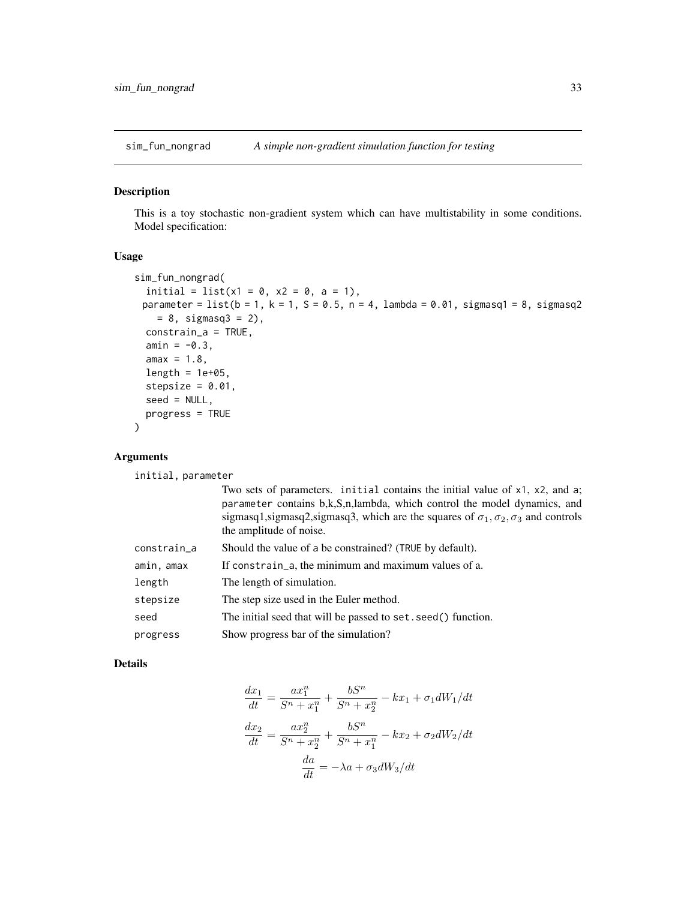<span id="page-32-1"></span><span id="page-32-0"></span>

This is a toy stochastic non-gradient system which can have multistability in some conditions. Model specification:

#### Usage

```
sim_fun_nongrad(
 initial = list(x1 = 0, x2 = 0, a = 1),
 parameter = list(b = 1, k = 1, S = 0.5, n = 4, lambda = 0.01, sigmasq1 = 8, sigmasq2= 8, sigmasq3 = 2),
 constrain_a = TRUE,
 amin = -0.3,
 amax = 1.8,
 length = 1e+05,
 stepsize = 0.01,
 seed = NULL,
 progress = TRUE
)
```
# Arguments

initial, parameter

|             | Two sets of parameters. initial contains the initial value of $x1$ , $x2$ , and a;<br>parameter contains b,k,S,n,lambda, which control the model dynamics, and<br>sigmasq1,sigmasq2,sigmasq3, which are the squares of $\sigma_1$ , $\sigma_2$ , $\sigma_3$ and controls<br>the amplitude of noise. |
|-------------|-----------------------------------------------------------------------------------------------------------------------------------------------------------------------------------------------------------------------------------------------------------------------------------------------------|
| constrain_a | Should the value of a be constrained? (TRUE by default).                                                                                                                                                                                                                                            |
| amin, amax  | If constrain_a, the minimum and maximum values of a.                                                                                                                                                                                                                                                |
| length      | The length of simulation.                                                                                                                                                                                                                                                                           |
| stepsize    | The step size used in the Euler method.                                                                                                                                                                                                                                                             |
| seed        | The initial seed that will be passed to set. seed () function.                                                                                                                                                                                                                                      |
| progress    | Show progress bar of the simulation?                                                                                                                                                                                                                                                                |

## Details

$$
\frac{dx_1}{dt} = \frac{ax_1^n}{S^n + x_1^n} + \frac{bS^n}{S^n + x_2^n} - kx_1 + \sigma_1 dW_1/dt
$$

$$
\frac{dx_2}{dt} = \frac{ax_2^n}{S^n + x_2^n} + \frac{bS^n}{S^n + x_1^n} - kx_2 + \sigma_2 dW_2/dt
$$

$$
\frac{da}{dt} = -\lambda a + \sigma_3 dW_3/dt
$$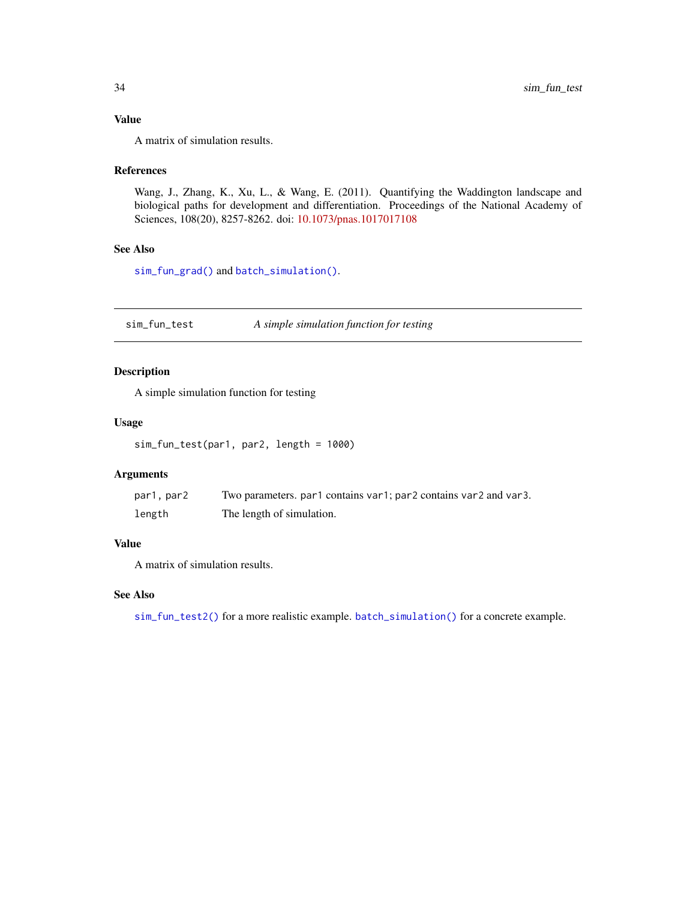# <span id="page-33-0"></span>Value

A matrix of simulation results.

#### References

Wang, J., Zhang, K., Xu, L., & Wang, E. (2011). Quantifying the Waddington landscape and biological paths for development and differentiation. Proceedings of the National Academy of Sciences, 108(20), 8257-8262. doi: [10.1073/pnas.1017017108](https://doi.org/10.1073/pnas.1017017108)

# See Also

[sim\\_fun\\_grad\(\)](#page-31-1) and [batch\\_simulation\(\)](#page-21-1).

<span id="page-33-1"></span>sim\_fun\_test *A simple simulation function for testing*

#### Description

A simple simulation function for testing

#### Usage

sim\_fun\_test(par1, par2, length = 1000)

# Arguments

| par1, par2 | Two parameters, par1 contains var1; par2 contains var2 and var3. |
|------------|------------------------------------------------------------------|
| length     | The length of simulation.                                        |

#### Value

A matrix of simulation results.

#### See Also

[sim\\_fun\\_test2\(\)](#page-0-0) for a more realistic example. [batch\\_simulation\(\)](#page-21-1) for a concrete example.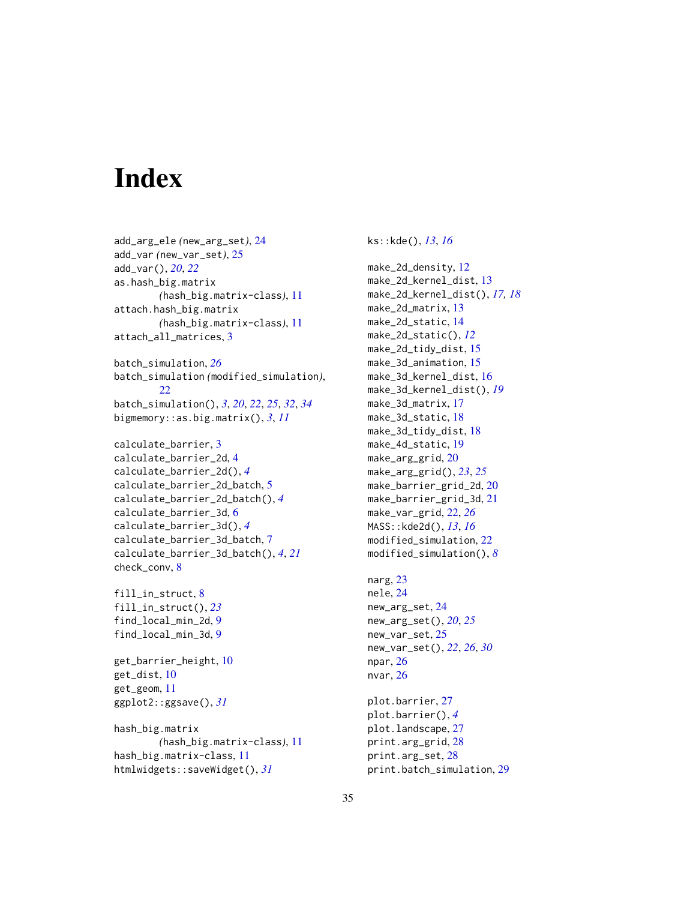# <span id="page-34-0"></span>**Index**

add\_arg\_ele *(*new\_arg\_set*)*, [24](#page-23-0) add\_var *(*new\_var\_set*)*, [25](#page-24-0) add\_var(), *[20](#page-19-0)*, *[22](#page-21-0)* as.hash\_big.matrix *(*hash\_big.matrix-class*)*, [11](#page-10-0) attach.hash\_big.matrix *(*hash\_big.matrix-class*)*, [11](#page-10-0) attach\_all\_matrices, [3](#page-2-0)

batch\_simulation, *[26](#page-25-0)* batch\_simulation *(*modified\_simulation*)*, [22](#page-21-0) batch\_simulation(), *[3](#page-2-0)*, *[20](#page-19-0)*, *[22](#page-21-0)*, *[25](#page-24-0)*, *[32](#page-31-0)*, *[34](#page-33-0)* bigmemory::as.big.matrix(), *[3](#page-2-0)*, *[11](#page-10-0)*

calculate\_barrier, [3](#page-2-0) calculate\_barrier\_2d, [4](#page-3-0) calculate\_barrier\_2d(), *[4](#page-3-0)* calculate\_barrier\_2d\_batch, [5](#page-4-0) calculate\_barrier\_2d\_batch(), *[4](#page-3-0)* calculate\_barrier\_3d, [6](#page-5-0) calculate\_barrier\_3d(), *[4](#page-3-0)* calculate\_barrier\_3d\_batch, [7](#page-6-0) calculate\_barrier\_3d\_batch(), *[4](#page-3-0)*, *[21](#page-20-0)* check\_conv, [8](#page-7-0)

fill\_in\_struct, [8](#page-7-0) fill\_in\_struct(), *[23](#page-22-0)* find\_local\_min\_2d, [9](#page-8-0) find\_local\_min\_3d, [9](#page-8-0)

get\_barrier\_height, [10](#page-9-0) get\_dist, [10](#page-9-0) get\_geom, [11](#page-10-0) ggplot2::ggsave(), *[31](#page-30-0)*

hash\_big.matrix *(*hash\_big.matrix-class*)*, [11](#page-10-0) hash\_big.matrix-class, [11](#page-10-0) htmlwidgets::saveWidget(), *[31](#page-30-0)*

ks::kde(), *[13](#page-12-0)*, *[16](#page-15-0)*

make\_2d\_density, [12](#page-11-0) make\_2d\_kernel\_dist, [13](#page-12-0) make\_2d\_kernel\_dist(), *[17,](#page-16-0) [18](#page-17-0)* make\_2d\_matrix, [13](#page-12-0) make\_2d\_static, [14](#page-13-0) make\_2d\_static(), *[12](#page-11-0)* make\_2d\_tidy\_dist, [15](#page-14-0) make\_3d\_animation, [15](#page-14-0) make\_3d\_kernel\_dist, [16](#page-15-0) make\_3d\_kernel\_dist(), *[19](#page-18-0)* make\_3d\_matrix, [17](#page-16-0) make\_3d\_static, [18](#page-17-0) make\_3d\_tidy\_dist, [18](#page-17-0) make\_4d\_static, [19](#page-18-0) make\_arg\_grid, [20](#page-19-0) make\_arg\_grid(), *[23](#page-22-0)*, *[25](#page-24-0)* make\_barrier\_grid\_2d, [20](#page-19-0) make\_barrier\_grid\_3d, [21](#page-20-0) make\_var\_grid, [22,](#page-21-0) *[26](#page-25-0)* MASS::kde2d(), *[13](#page-12-0)*, *[16](#page-15-0)* modified\_simulation, [22](#page-21-0) modified\_simulation(), *[8](#page-7-0)* narg, [23](#page-22-0) nele, [24](#page-23-0) new\_arg\_set, [24](#page-23-0) new\_arg\_set(), *[20](#page-19-0)*, *[25](#page-24-0)* new\_var\_set, [25](#page-24-0) new\_var\_set(), *[22](#page-21-0)*, *[26](#page-25-0)*, *[30](#page-29-0)* npar, [26](#page-25-0) nvar, [26](#page-25-0) plot.barrier, [27](#page-26-0) plot.barrier(), *[4](#page-3-0)* plot.landscape, [27](#page-26-0) print.arg\_grid, [28](#page-27-0) print.arg\_set, [28](#page-27-0)

print.batch\_simulation, [29](#page-28-0)